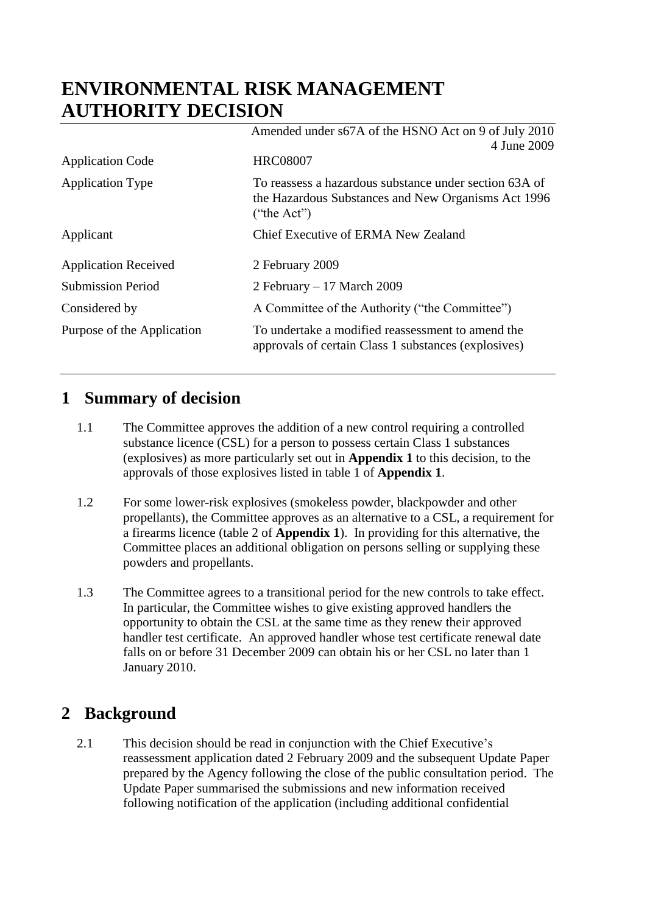# **ENVIRONMENTAL RISK MANAGEMENT AUTHORITY DECISION**

|                             | Amended under s67A of the HSNO Act on 9 of July 2010<br>4 June 2009                                                          |
|-----------------------------|------------------------------------------------------------------------------------------------------------------------------|
| <b>Application Code</b>     | <b>HRC08007</b>                                                                                                              |
| <b>Application Type</b>     | To reassess a hazardous substance under section 63A of<br>the Hazardous Substances and New Organisms Act 1996<br>("the Act") |
| Applicant                   | Chief Executive of ERMA New Zealand                                                                                          |
| <b>Application Received</b> | 2 February 2009                                                                                                              |
| <b>Submission Period</b>    | 2 February - 17 March 2009                                                                                                   |
| Considered by               | A Committee of the Authority ("the Committee")                                                                               |
| Purpose of the Application  | To undertake a modified reassessment to amend the<br>approvals of certain Class 1 substances (explosives)                    |

# **1 Summary of decision**

- 1.1 The Committee approves the addition of a new control requiring a controlled substance licence (CSL) for a person to possess certain Class 1 substances (explosives) as more particularly set out in **Appendix 1** to this decision, to the approvals of those explosives listed in table 1 of **Appendix 1**.
- 1.2 For some lower-risk explosives (smokeless powder, blackpowder and other propellants), the Committee approves as an alternative to a CSL, a requirement for a firearms licence (table 2 of **Appendix 1**). In providing for this alternative, the Committee places an additional obligation on persons selling or supplying these powders and propellants.
- 1.3 The Committee agrees to a transitional period for the new controls to take effect. In particular, the Committee wishes to give existing approved handlers the opportunity to obtain the CSL at the same time as they renew their approved handler test certificate. An approved handler whose test certificate renewal date falls on or before 31 December 2009 can obtain his or her CSL no later than 1 January 2010.

# **2 Background**

2.1 This decision should be read in conjunction with the Chief Executive's reassessment application dated 2 February 2009 and the subsequent Update Paper prepared by the Agency following the close of the public consultation period. The Update Paper summarised the submissions and new information received following notification of the application (including additional confidential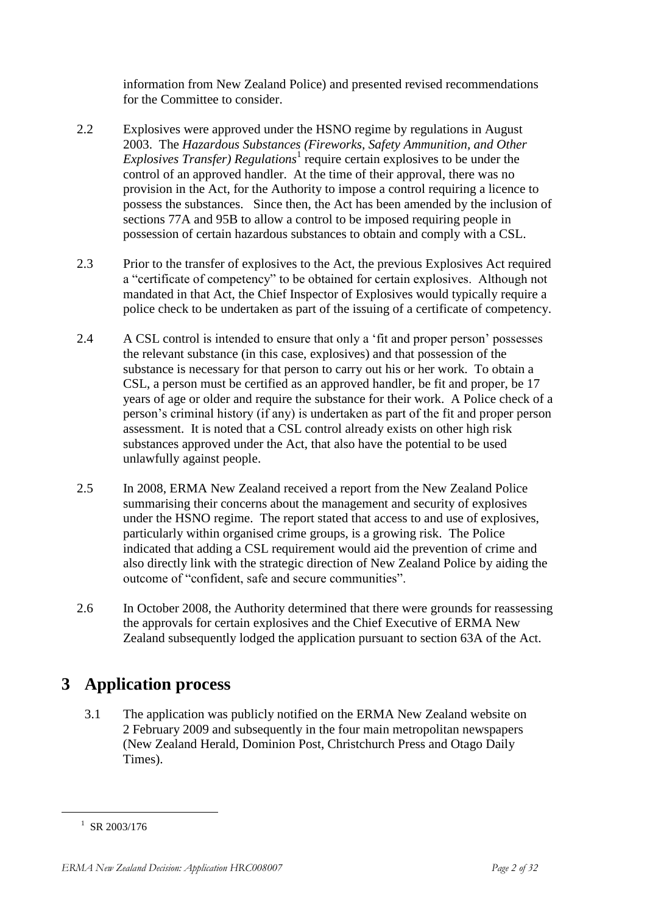information from New Zealand Police) and presented revised recommendations for the Committee to consider.

- 2.2 Explosives were approved under the HSNO regime by regulations in August 2003. The *Hazardous Substances (Fireworks, Safety Ammunition, and Other Explosives Transfer*) *Regulations*<sup>1</sup> require certain explosives to be under the control of an approved handler. At the time of their approval, there was no provision in the Act, for the Authority to impose a control requiring a licence to possess the substances. Since then, the Act has been amended by the inclusion of sections 77A and 95B to allow a control to be imposed requiring people in possession of certain hazardous substances to obtain and comply with a CSL.
- 2.3 Prior to the transfer of explosives to the Act, the previous Explosives Act required a "certificate of competency" to be obtained for certain explosives. Although not mandated in that Act, the Chief Inspector of Explosives would typically require a police check to be undertaken as part of the issuing of a certificate of competency.
- 2.4 A CSL control is intended to ensure that only a 'fit and proper person' possesses the relevant substance (in this case, explosives) and that possession of the substance is necessary for that person to carry out his or her work. To obtain a CSL, a person must be certified as an approved handler, be fit and proper, be 17 years of age or older and require the substance for their work. A Police check of a person's criminal history (if any) is undertaken as part of the fit and proper person assessment. It is noted that a CSL control already exists on other high risk substances approved under the Act, that also have the potential to be used unlawfully against people.
- 2.5 In 2008, ERMA New Zealand received a report from the New Zealand Police summarising their concerns about the management and security of explosives under the HSNO regime. The report stated that access to and use of explosives, particularly within organised crime groups, is a growing risk. The Police indicated that adding a CSL requirement would aid the prevention of crime and also directly link with the strategic direction of New Zealand Police by aiding the outcome of "confident, safe and secure communities".
- 2.6 In October 2008, the Authority determined that there were grounds for reassessing the approvals for certain explosives and the Chief Executive of ERMA New Zealand subsequently lodged the application pursuant to section 63A of the Act.

# **3 Application process**

3.1 The application was publicly notified on the ERMA New Zealand website on 2 February 2009 and subsequently in the four main metropolitan newspapers (New Zealand Herald, Dominion Post, Christchurch Press and Otago Daily Times).

1

 $^{1}$  SR 2003/176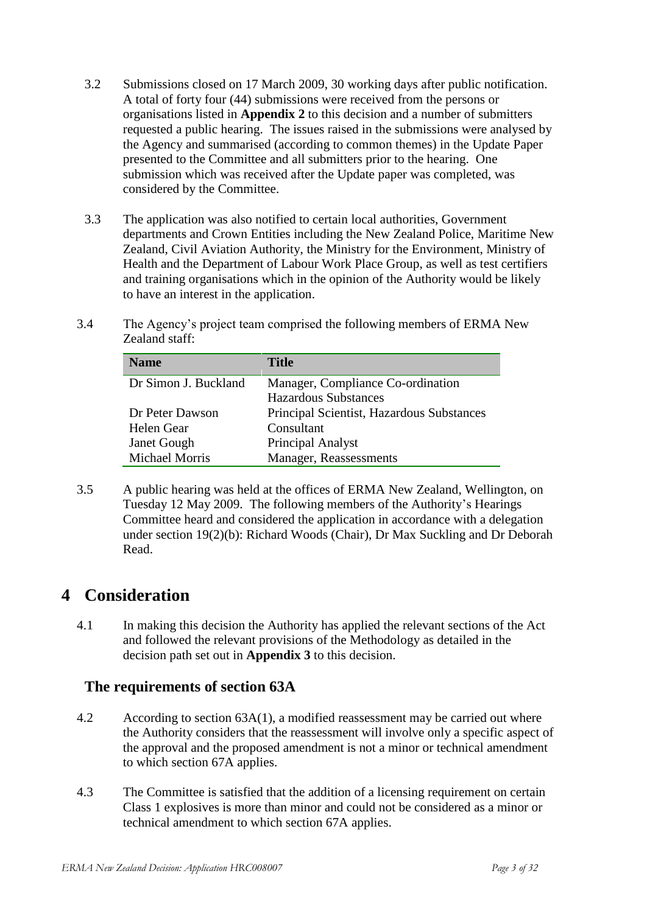- 3.2 Submissions closed on 17 March 2009, 30 working days after public notification. A total of forty four (44) submissions were received from the persons or organisations listed in **Appendix 2** to this decision and a number of submitters requested a public hearing. The issues raised in the submissions were analysed by the Agency and summarised (according to common themes) in the Update Paper presented to the Committee and all submitters prior to the hearing. One submission which was received after the Update paper was completed, was considered by the Committee.
- 3.3 The application was also notified to certain local authorities, Government departments and Crown Entities including the New Zealand Police, Maritime New Zealand, Civil Aviation Authority, the Ministry for the Environment, Ministry of Health and the Department of Labour Work Place Group, as well as test certifiers and training organisations which in the opinion of the Authority would be likely to have an interest in the application.
- 3.4 The Agency's project team comprised the following members of ERMA New Zealand staff:

| <b>Name</b>           | <b>Title</b>                              |
|-----------------------|-------------------------------------------|
| Dr Simon J. Buckland  | Manager, Compliance Co-ordination         |
|                       | <b>Hazardous Substances</b>               |
| Dr Peter Dawson       | Principal Scientist, Hazardous Substances |
| Helen Gear            | Consultant                                |
| <b>Janet Gough</b>    | Principal Analyst                         |
| <b>Michael Morris</b> | Manager, Reassessments                    |

3.5 A public hearing was held at the offices of ERMA New Zealand, Wellington, on Tuesday 12 May 2009. The following members of the Authority's Hearings Committee heard and considered the application in accordance with a delegation under section 19(2)(b): Richard Woods (Chair), Dr Max Suckling and Dr Deborah Read.

# **4 Consideration**

4.1 In making this decision the Authority has applied the relevant sections of the Act and followed the relevant provisions of the Methodology as detailed in the decision path set out in **Appendix 3** to this decision.

### **The requirements of section 63A**

- 4.2 According to section 63A(1), a modified reassessment may be carried out where the Authority considers that the reassessment will involve only a specific aspect of the approval and the proposed amendment is not a minor or technical amendment to which section 67A applies.
- 4.3 The Committee is satisfied that the addition of a licensing requirement on certain Class 1 explosives is more than minor and could not be considered as a minor or technical amendment to which section 67A applies.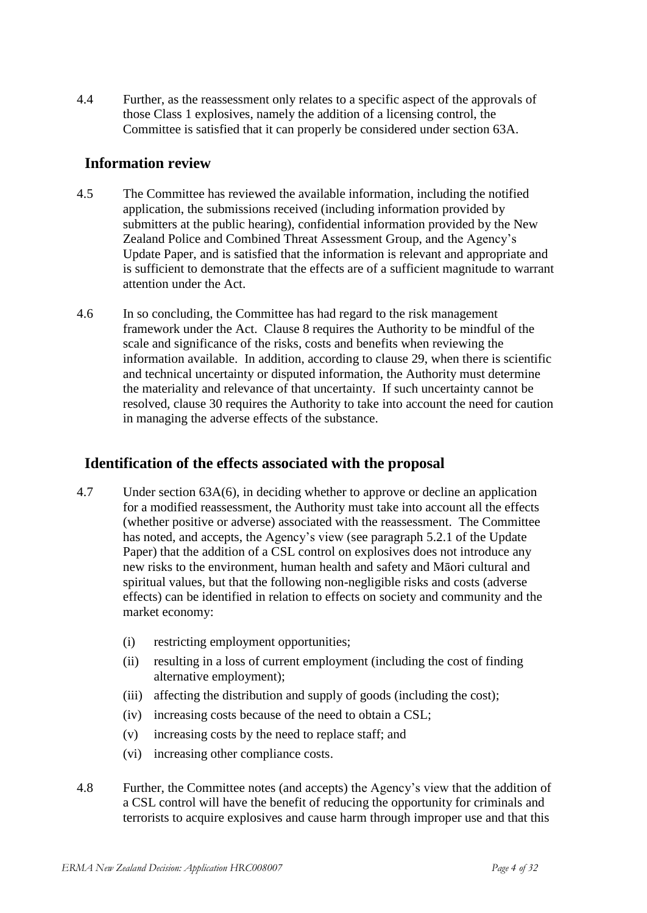4.4 Further, as the reassessment only relates to a specific aspect of the approvals of those Class 1 explosives, namely the addition of a licensing control, the Committee is satisfied that it can properly be considered under section 63A.

### **Information review**

- 4.5 The Committee has reviewed the available information, including the notified application, the submissions received (including information provided by submitters at the public hearing), confidential information provided by the New Zealand Police and Combined Threat Assessment Group, and the Agency's Update Paper, and is satisfied that the information is relevant and appropriate and is sufficient to demonstrate that the effects are of a sufficient magnitude to warrant attention under the Act.
- 4.6 In so concluding, the Committee has had regard to the risk management framework under the Act. Clause 8 requires the Authority to be mindful of the scale and significance of the risks, costs and benefits when reviewing the information available. In addition, according to clause 29, when there is scientific and technical uncertainty or disputed information, the Authority must determine the materiality and relevance of that uncertainty. If such uncertainty cannot be resolved, clause 30 requires the Authority to take into account the need for caution in managing the adverse effects of the substance.

## **Identification of the effects associated with the proposal**

- 4.7 Under section 63A(6), in deciding whether to approve or decline an application for a modified reassessment, the Authority must take into account all the effects (whether positive or adverse) associated with the reassessment. The Committee has noted, and accepts, the Agency's view (see paragraph 5.2.1 of the Update Paper) that the addition of a CSL control on explosives does not introduce any new risks to the environment, human health and safety and Māori cultural and spiritual values, but that the following non-negligible risks and costs (adverse effects) can be identified in relation to effects on society and community and the market economy:
	- (i) restricting employment opportunities;
	- (ii) resulting in a loss of current employment (including the cost of finding alternative employment);
	- (iii) affecting the distribution and supply of goods (including the cost);
	- (iv) increasing costs because of the need to obtain a CSL;
	- (v) increasing costs by the need to replace staff; and
	- (vi) increasing other compliance costs.
- 4.8 Further, the Committee notes (and accepts) the Agency's view that the addition of a CSL control will have the benefit of reducing the opportunity for criminals and terrorists to acquire explosives and cause harm through improper use and that this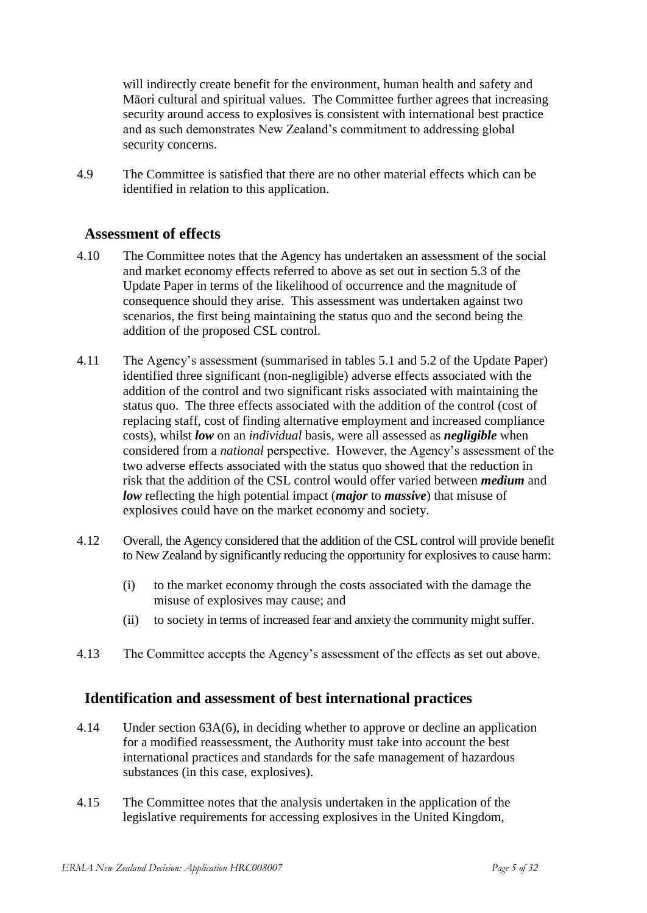will indirectly create benefit for the environment, human health and safety and Māori cultural and spiritual values. The Committee further agrees that increasing security around access to explosives is consistent with international best practice and as such demonstrates New Zealand's commitment to addressing global security concerns.

4.9 The Committee is satisfied that there are no other material effects which can be identified in relation to this application.

### **Assessment of effects**

- 4.10 The Committee notes that the Agency has undertaken an assessment of the social and market economy effects referred to above as set out in section 5.3 of the Update Paper in terms of the likelihood of occurrence and the magnitude of consequence should they arise. This assessment was undertaken against two scenarios, the first being maintaining the status quo and the second being the addition of the proposed CSL control.
- 4.11 The Agency's assessment (summarised in tables 5.1 and 5.2 of the Update Paper) identified three significant (non-negligible) adverse effects associated with the addition of the control and two significant risks associated with maintaining the status quo. The three effects associated with the addition of the control (cost of replacing staff, cost of finding alternative employment and increased compliance costs), whilst *low* on an *individual* basis, were all assessed as *negligible* when considered from a *national* perspective. However, the Agency's assessment of the two adverse effects associated with the status quo showed that the reduction in risk that the addition of the CSL control would offer varied between *medium* and *low* reflecting the high potential impact (*major* to *massive*) that misuse of explosives could have on the market economy and society.
- 4.12 Overall, the Agency considered that the addition of the CSL control will provide benefit to New Zealand by significantly reducing the opportunity for explosives to cause harm:
	- (i) to the market economy through the costs associated with the damage the misuse of explosives may cause; and
	- (ii) to society in terms of increased fear and anxiety the community might suffer.
- 4.13 The Committee accepts the Agency's assessment of the effects as set out above.

### **Identification and assessment of best international practices**

- 4.14 Under section 63A(6), in deciding whether to approve or decline an application for a modified reassessment, the Authority must take into account the best international practices and standards for the safe management of hazardous substances (in this case, explosives).
- 4.15 The Committee notes that the analysis undertaken in the application of the legislative requirements for accessing explosives in the United Kingdom,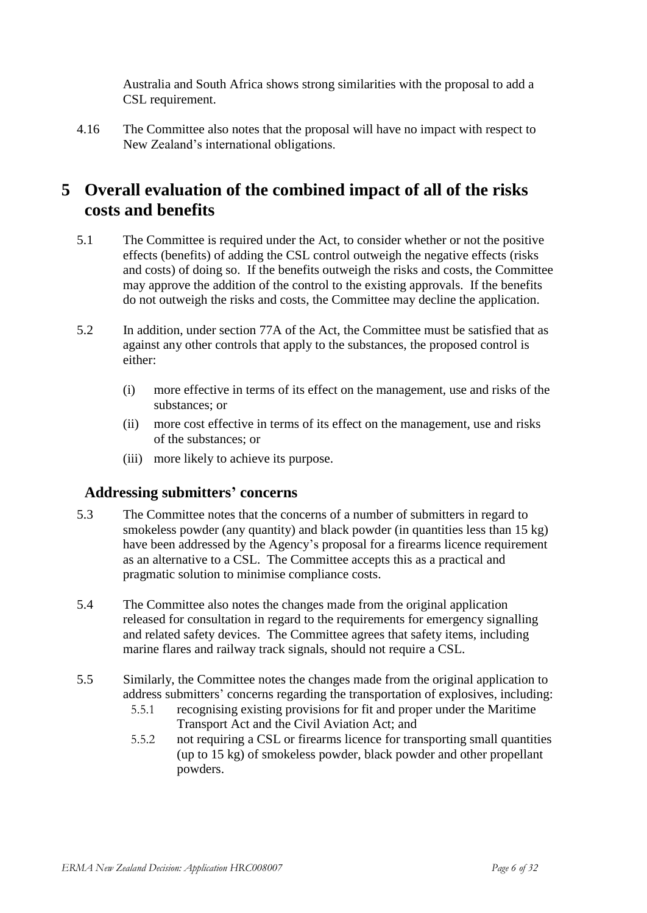Australia and South Africa shows strong similarities with the proposal to add a CSL requirement.

4.16 The Committee also notes that the proposal will have no impact with respect to New Zealand's international obligations.

# **5 Overall evaluation of the combined impact of all of the risks costs and benefits**

- 5.1 The Committee is required under the Act, to consider whether or not the positive effects (benefits) of adding the CSL control outweigh the negative effects (risks and costs) of doing so. If the benefits outweigh the risks and costs, the Committee may approve the addition of the control to the existing approvals. If the benefits do not outweigh the risks and costs, the Committee may decline the application.
- 5.2 In addition, under section 77A of the Act, the Committee must be satisfied that as against any other controls that apply to the substances, the proposed control is either:
	- (i) more effective in terms of its effect on the management, use and risks of the substances; or
	- (ii) more cost effective in terms of its effect on the management, use and risks of the substances; or
	- (iii) more likely to achieve its purpose.

## **Addressing submitters' concerns**

- 5.3 The Committee notes that the concerns of a number of submitters in regard to smokeless powder (any quantity) and black powder (in quantities less than 15 kg) have been addressed by the Agency's proposal for a firearms licence requirement as an alternative to a CSL. The Committee accepts this as a practical and pragmatic solution to minimise compliance costs.
- 5.4 The Committee also notes the changes made from the original application released for consultation in regard to the requirements for emergency signalling and related safety devices. The Committee agrees that safety items, including marine flares and railway track signals, should not require a CSL.
- 5.5 Similarly, the Committee notes the changes made from the original application to address submitters' concerns regarding the transportation of explosives, including:
	- 5.5.1 recognising existing provisions for fit and proper under the Maritime Transport Act and the Civil Aviation Act; and
	- 5.5.2 not requiring a CSL or firearms licence for transporting small quantities (up to 15 kg) of smokeless powder, black powder and other propellant powders.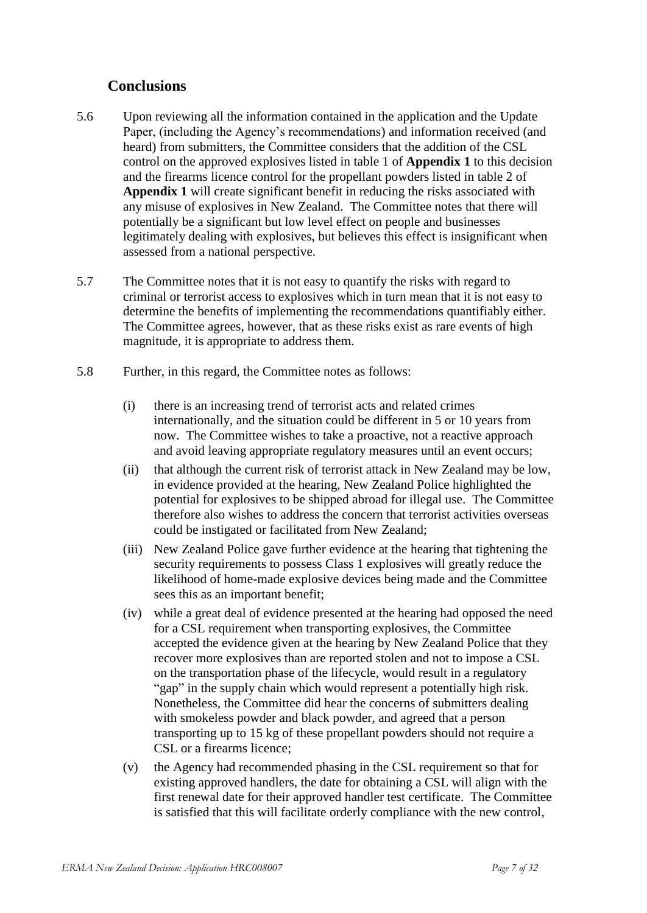## **Conclusions**

- 5.6 Upon reviewing all the information contained in the application and the Update Paper, (including the Agency's recommendations) and information received (and heard) from submitters, the Committee considers that the addition of the CSL control on the approved explosives listed in table 1 of **Appendix 1** to this decision and the firearms licence control for the propellant powders listed in table 2 of **Appendix 1** will create significant benefit in reducing the risks associated with any misuse of explosives in New Zealand. The Committee notes that there will potentially be a significant but low level effect on people and businesses legitimately dealing with explosives, but believes this effect is insignificant when assessed from a national perspective.
- 5.7 The Committee notes that it is not easy to quantify the risks with regard to criminal or terrorist access to explosives which in turn mean that it is not easy to determine the benefits of implementing the recommendations quantifiably either. The Committee agrees, however, that as these risks exist as rare events of high magnitude, it is appropriate to address them.
- 5.8 Further, in this regard, the Committee notes as follows:
	- (i) there is an increasing trend of terrorist acts and related crimes internationally, and the situation could be different in 5 or 10 years from now. The Committee wishes to take a proactive, not a reactive approach and avoid leaving appropriate regulatory measures until an event occurs;
	- (ii) that although the current risk of terrorist attack in New Zealand may be low, in evidence provided at the hearing, New Zealand Police highlighted the potential for explosives to be shipped abroad for illegal use. The Committee therefore also wishes to address the concern that terrorist activities overseas could be instigated or facilitated from New Zealand;
	- (iii) New Zealand Police gave further evidence at the hearing that tightening the security requirements to possess Class 1 explosives will greatly reduce the likelihood of home-made explosive devices being made and the Committee sees this as an important benefit;
	- (iv) while a great deal of evidence presented at the hearing had opposed the need for a CSL requirement when transporting explosives, the Committee accepted the evidence given at the hearing by New Zealand Police that they recover more explosives than are reported stolen and not to impose a CSL on the transportation phase of the lifecycle, would result in a regulatory "gap" in the supply chain which would represent a potentially high risk. Nonetheless, the Committee did hear the concerns of submitters dealing with smokeless powder and black powder, and agreed that a person transporting up to 15 kg of these propellant powders should not require a CSL or a firearms licence;
	- (v) the Agency had recommended phasing in the CSL requirement so that for existing approved handlers, the date for obtaining a CSL will align with the first renewal date for their approved handler test certificate. The Committee is satisfied that this will facilitate orderly compliance with the new control,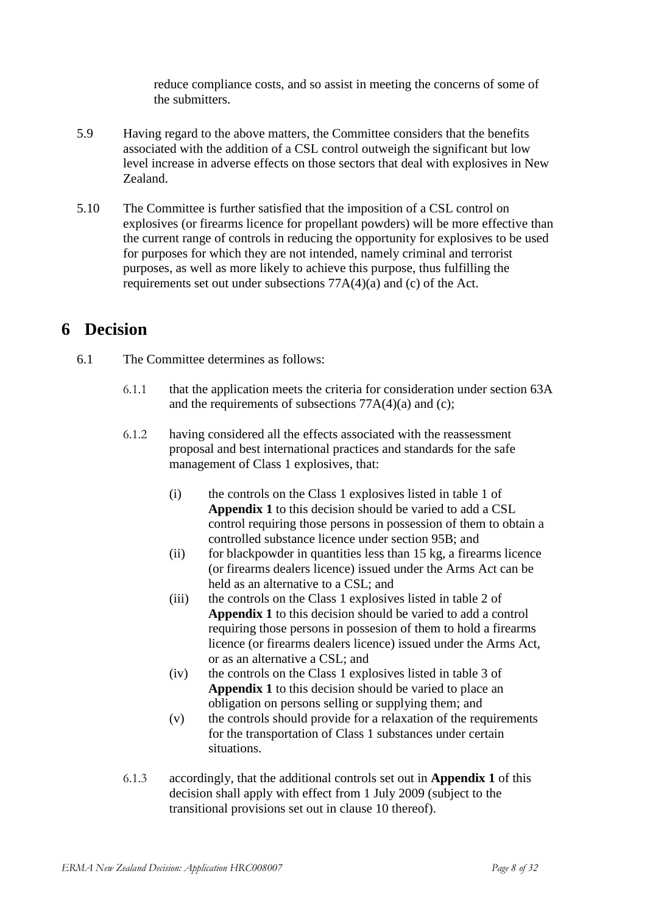reduce compliance costs, and so assist in meeting the concerns of some of the submitters.

- 5.9 Having regard to the above matters, the Committee considers that the benefits associated with the addition of a CSL control outweigh the significant but low level increase in adverse effects on those sectors that deal with explosives in New Zealand.
- 5.10 The Committee is further satisfied that the imposition of a CSL control on explosives (or firearms licence for propellant powders) will be more effective than the current range of controls in reducing the opportunity for explosives to be used for purposes for which they are not intended, namely criminal and terrorist purposes, as well as more likely to achieve this purpose, thus fulfilling the requirements set out under subsections 77A(4)(a) and (c) of the Act.

# **6 Decision**

- 6.1 The Committee determines as follows:
	- 6.1.1 that the application meets the criteria for consideration under section 63A and the requirements of subsections  $77A(4)(a)$  and (c);
	- 6.1.2 having considered all the effects associated with the reassessment proposal and best international practices and standards for the safe management of Class 1 explosives, that:
		- (i) the controls on the Class 1 explosives listed in table 1 of **Appendix 1** to this decision should be varied to add a CSL control requiring those persons in possession of them to obtain a controlled substance licence under section 95B; and
		- (ii) for blackpowder in quantities less than 15 kg, a firearms licence (or firearms dealers licence) issued under the Arms Act can be held as an alternative to a CSL; and
		- (iii) the controls on the Class 1 explosives listed in table 2 of **Appendix 1** to this decision should be varied to add a control requiring those persons in possesion of them to hold a firearms licence (or firearms dealers licence) issued under the Arms Act, or as an alternative a CSL; and
		- (iv) the controls on the Class 1 explosives listed in table 3 of **Appendix 1** to this decision should be varied to place an obligation on persons selling or supplying them; and
		- (v) the controls should provide for a relaxation of the requirements for the transportation of Class 1 substances under certain situations.
	- 6.1.3 accordingly, that the additional controls set out in **Appendix 1** of this decision shall apply with effect from 1 July 2009 (subject to the transitional provisions set out in clause 10 thereof).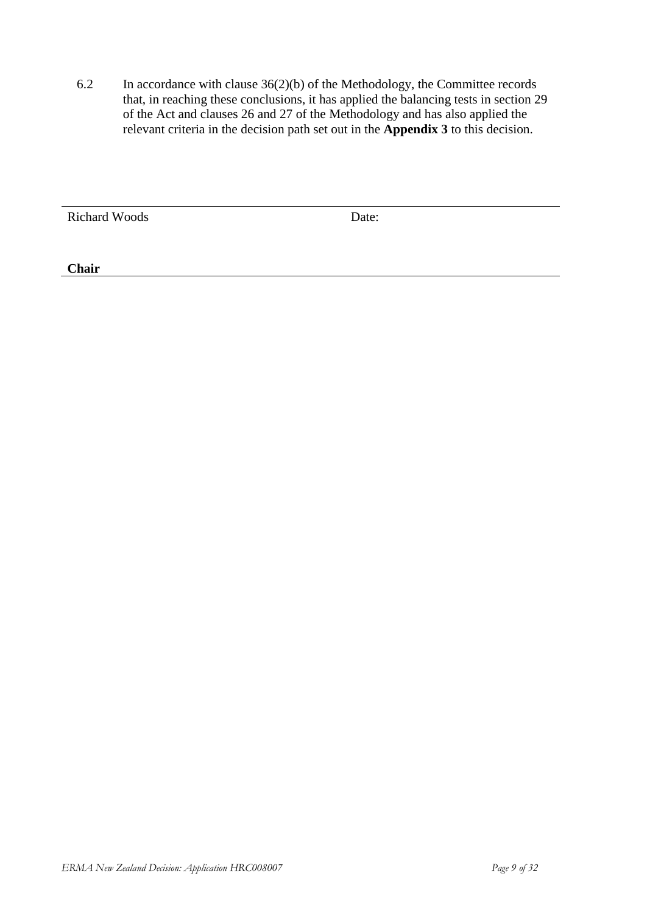6.2 In accordance with clause 36(2)(b) of the Methodology, the Committee records that, in reaching these conclusions, it has applied the balancing tests in section 29 of the Act and clauses 26 and 27 of the Methodology and has also applied the relevant criteria in the decision path set out in the **Appendix 3** to this decision.

Richard Woods Date:

**Chair**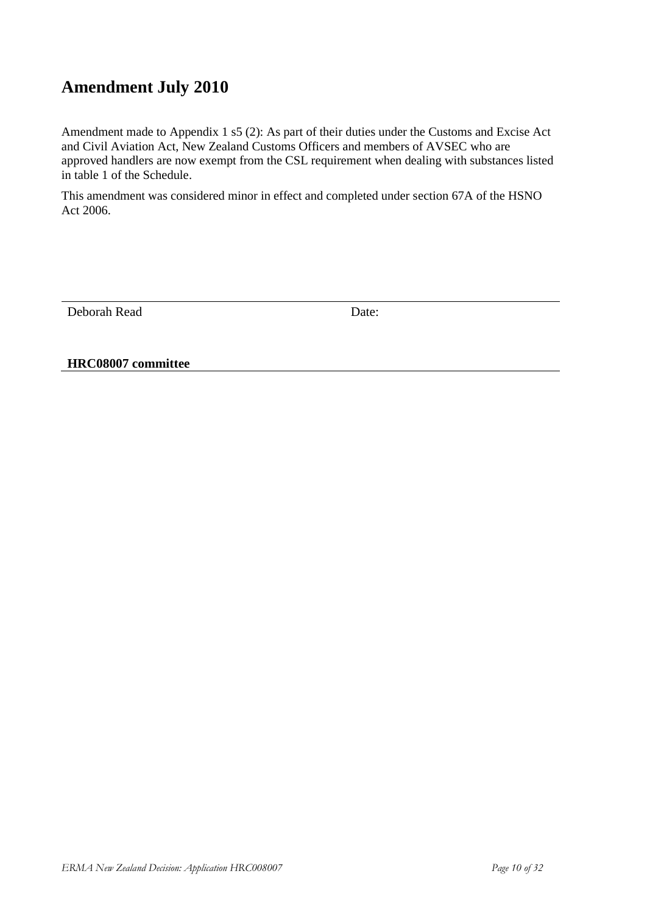# **Amendment July 2010**

Amendment made to Appendix 1 s5 (2): As part of their duties under the Customs and Excise Act and Civil Aviation Act, New Zealand Customs Officers and members of AVSEC who are approved handlers are now exempt from the CSL requirement when dealing with substances listed in table 1 of the Schedule.

This amendment was considered minor in effect and completed under section 67A of the HSNO Act 2006.

Deborah Read Date:

**HRC08007 committee**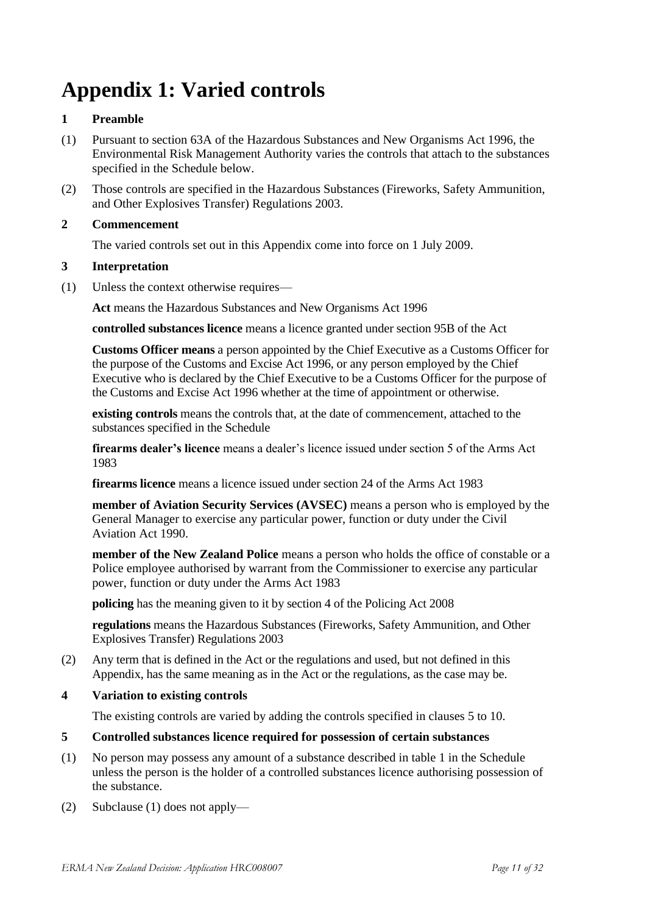# **Appendix 1: Varied controls**

#### **1 Preamble**

- (1) Pursuant to section 63A of the Hazardous Substances and New Organisms Act 1996, the Environmental Risk Management Authority varies the controls that attach to the substances specified in the Schedule below.
- (2) Those controls are specified in the Hazardous Substances (Fireworks, Safety Ammunition, and Other Explosives Transfer) Regulations 2003.

#### **2 Commencement**

The varied controls set out in this Appendix come into force on 1 July 2009.

#### **3 Interpretation**

(1) Unless the context otherwise requires—

**Act** means the Hazardous Substances and New Organisms Act 1996

**controlled substances licence** means a licence granted under section 95B of the Act

**Customs Officer means** a person appointed by the Chief Executive as a Customs Officer for the purpose of the Customs and Excise Act 1996, or any person employed by the Chief Executive who is declared by the Chief Executive to be a Customs Officer for the purpose of the Customs and Excise Act 1996 whether at the time of appointment or otherwise.

**existing controls** means the controls that, at the date of commencement, attached to the substances specified in the Schedule

**firearms dealer's licence** means a dealer's licence issued under section 5 of the Arms Act 1983

**firearms licence** means a licence issued under section 24 of the Arms Act 1983

**member of Aviation Security Services (AVSEC)** means a person who is employed by the General Manager to exercise any particular power, function or duty under the Civil Aviation Act 1990.

**member of the New Zealand Police** means a person who holds the office of constable or a Police employee authorised by warrant from the Commissioner to exercise any particular power, function or duty under the Arms Act 1983

**policing** has the meaning given to it by section 4 of the Policing Act 2008

**regulations** means the Hazardous Substances (Fireworks, Safety Ammunition, and Other Explosives Transfer) Regulations 2003

(2) Any term that is defined in the Act or the regulations and used, but not defined in this Appendix, has the same meaning as in the Act or the regulations, as the case may be.

#### **4 Variation to existing controls**

The existing controls are varied by adding the controls specified in clauses 5 to 10.

#### **5 Controlled substances licence required for possession of certain substances**

- (1) No person may possess any amount of a substance described in table 1 in the Schedule unless the person is the holder of a controlled substances licence authorising possession of the substance.
- (2) Subclause (1) does not apply—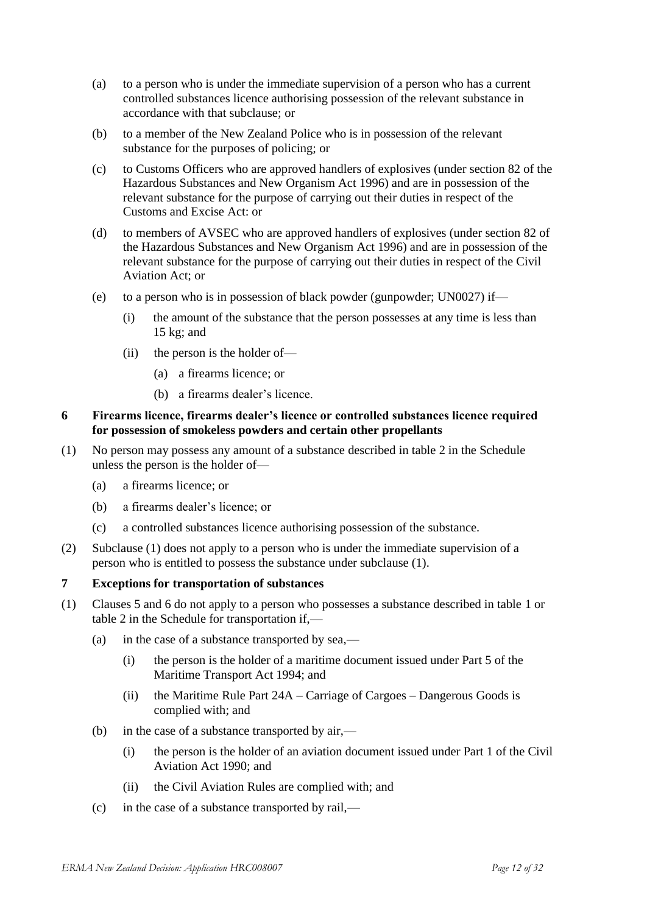- (a) to a person who is under the immediate supervision of a person who has a current controlled substances licence authorising possession of the relevant substance in accordance with that subclause; or
- (b) to a member of the New Zealand Police who is in possession of the relevant substance for the purposes of policing; or
- (c) to Customs Officers who are approved handlers of explosives (under section 82 of the Hazardous Substances and New Organism Act 1996) and are in possession of the relevant substance for the purpose of carrying out their duties in respect of the Customs and Excise Act: or
- (d) to members of AVSEC who are approved handlers of explosives (under section 82 of the Hazardous Substances and New Organism Act 1996) and are in possession of the relevant substance for the purpose of carrying out their duties in respect of the Civil Aviation Act; or
- (e) to a person who is in possession of black powder (gunpowder; UN0027) if—
	- (i) the amount of the substance that the person possesses at any time is less than 15 kg; and
	- (ii) the person is the holder of—
		- (a) a firearms licence; or
		- (b) a firearms dealer's licence.

#### **6 Firearms licence, firearms dealer's licence or controlled substances licence required for possession of smokeless powders and certain other propellants**

- (1) No person may possess any amount of a substance described in table 2 in the Schedule unless the person is the holder of—
	- (a) a firearms licence; or
	- (b) a firearms dealer's licence; or
	- (c) a controlled substances licence authorising possession of the substance.
- (2) Subclause (1) does not apply to a person who is under the immediate supervision of a person who is entitled to possess the substance under subclause (1).

#### **7 Exceptions for transportation of substances**

- (1) Clauses 5 and 6 do not apply to a person who possesses a substance described in table 1 or table 2 in the Schedule for transportation if,—
	- (a) in the case of a substance transported by sea,—
		- (i) the person is the holder of a maritime document issued under Part 5 of the Maritime Transport Act 1994; and
		- (ii) the Maritime Rule Part 24A Carriage of Cargoes Dangerous Goods is complied with; and
	- (b) in the case of a substance transported by air,—
		- (i) the person is the holder of an aviation document issued under Part 1 of the Civil Aviation Act 1990; and
		- (ii) the Civil Aviation Rules are complied with; and
	- (c) in the case of a substance transported by rail,—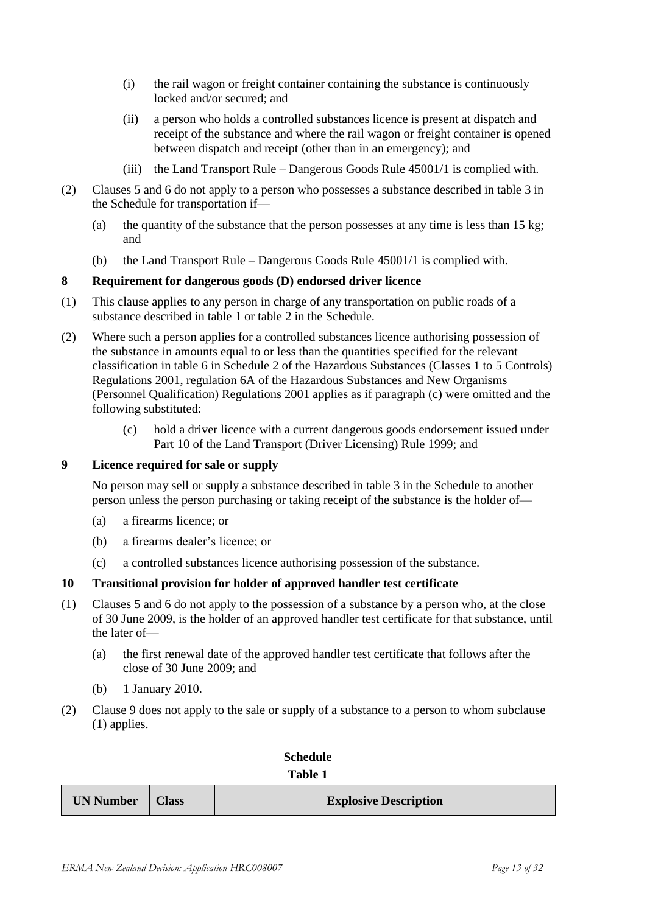- (i) the rail wagon or freight container containing the substance is continuously locked and/or secured; and
- (ii) a person who holds a controlled substances licence is present at dispatch and receipt of the substance and where the rail wagon or freight container is opened between dispatch and receipt (other than in an emergency); and
- (iii) the Land Transport Rule Dangerous Goods Rule 45001/1 is complied with.
- (2) Clauses 5 and 6 do not apply to a person who possesses a substance described in table 3 in the Schedule for transportation if—
	- (a) the quantity of the substance that the person possesses at any time is less than  $15 \text{ kg}$ ; and
	- (b) the Land Transport Rule Dangerous Goods Rule 45001/1 is complied with.

#### **8 Requirement for dangerous goods (D) endorsed driver licence**

- (1) This clause applies to any person in charge of any transportation on public roads of a substance described in table 1 or table 2 in the Schedule.
- (2) Where such a person applies for a controlled substances licence authorising possession of the substance in amounts equal to or less than the quantities specified for the relevant classification in table 6 in Schedule 2 of the Hazardous Substances (Classes 1 to 5 Controls) Regulations 2001, regulation 6A of the Hazardous Substances and New Organisms (Personnel Qualification) Regulations 2001 applies as if paragraph (c) were omitted and the following substituted:
	- (c) hold a driver licence with a current dangerous goods endorsement issued under Part 10 of the Land Transport (Driver Licensing) Rule 1999; and

#### **9 Licence required for sale or supply**

No person may sell or supply a substance described in table 3 in the Schedule to another person unless the person purchasing or taking receipt of the substance is the holder of—

- (a) a firearms licence; or
- (b) a firearms dealer's licence; or
- (c) a controlled substances licence authorising possession of the substance.

#### **10 Transitional provision for holder of approved handler test certificate**

- (1) Clauses 5 and 6 do not apply to the possession of a substance by a person who, at the close of 30 June 2009, is the holder of an approved handler test certificate for that substance, until the later of—
	- (a) the first renewal date of the approved handler test certificate that follows after the close of 30 June 2009; and
	- (b) 1 January 2010.
- (2) Clause 9 does not apply to the sale or supply of a substance to a person to whom subclause (1) applies.

| Schedule       |  |
|----------------|--|
| <b>Table 1</b> |  |

| UN Number   Class |  | <b>Explosive Description</b> |
|-------------------|--|------------------------------|
|-------------------|--|------------------------------|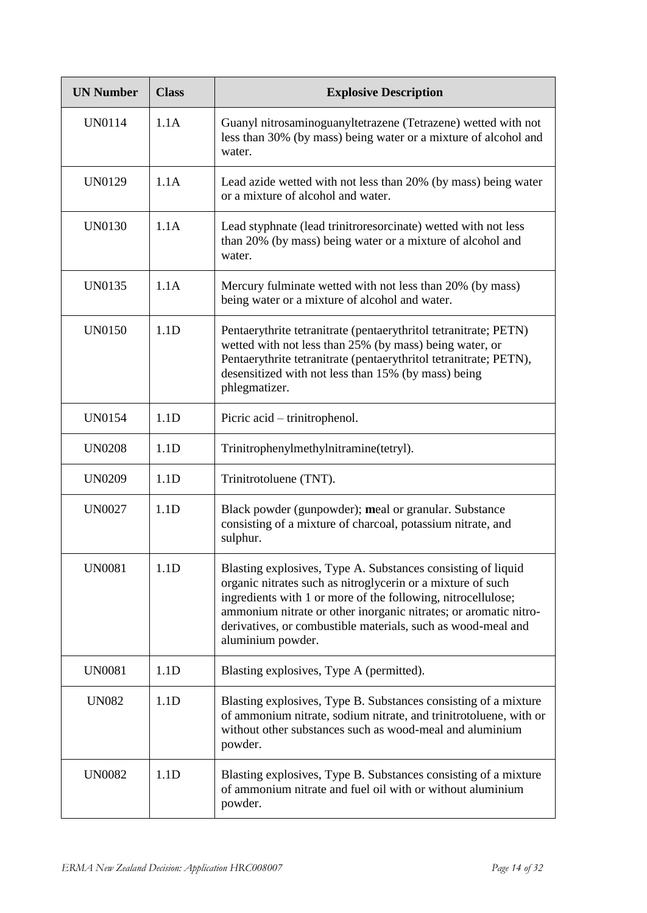| <b>UN Number</b> | <b>Class</b> | <b>Explosive Description</b>                                                                                                                                                                                                                                                                                                                         |
|------------------|--------------|------------------------------------------------------------------------------------------------------------------------------------------------------------------------------------------------------------------------------------------------------------------------------------------------------------------------------------------------------|
| UN0114           | 1.1A         | Guanyl nitrosaminoguanyltetrazene (Tetrazene) wetted with not<br>less than 30% (by mass) being water or a mixture of alcohol and<br>water.                                                                                                                                                                                                           |
| <b>UN0129</b>    | 1.1A         | Lead azide wetted with not less than 20% (by mass) being water<br>or a mixture of alcohol and water.                                                                                                                                                                                                                                                 |
| <b>UN0130</b>    | 1.1A         | Lead styphnate (lead trinitroresorcinate) wetted with not less<br>than 20% (by mass) being water or a mixture of alcohol and<br>water.                                                                                                                                                                                                               |
| <b>UN0135</b>    | 1.1A         | Mercury fulminate wetted with not less than 20% (by mass)<br>being water or a mixture of alcohol and water.                                                                                                                                                                                                                                          |
| <b>UN0150</b>    | 1.1D         | Pentaerythrite tetranitrate (pentaerythritol tetranitrate; PETN)<br>wetted with not less than 25% (by mass) being water, or<br>Pentaerythrite tetranitrate (pentaerythritol tetranitrate; PETN),<br>desensitized with not less than 15% (by mass) being<br>phlegmatizer.                                                                             |
| <b>UN0154</b>    | 1.1D         | Picric acid – trinitrophenol.                                                                                                                                                                                                                                                                                                                        |
| <b>UN0208</b>    | 1.1D         | Trinitrophenylmethylnitramine(tetryl).                                                                                                                                                                                                                                                                                                               |
| <b>UN0209</b>    | 1.1D         | Trinitrotoluene (TNT).                                                                                                                                                                                                                                                                                                                               |
| <b>UN0027</b>    | 1.1D         | Black powder (gunpowder); meal or granular. Substance<br>consisting of a mixture of charcoal, potassium nitrate, and<br>sulphur.                                                                                                                                                                                                                     |
| <b>UN0081</b>    | 1.1D         | Blasting explosives, Type A. Substances consisting of liquid<br>organic nitrates such as nitroglycerin or a mixture of such<br>ingredients with 1 or more of the following, nitrocellulose;<br>ammonium nitrate or other inorganic nitrates; or aromatic nitro-<br>derivatives, or combustible materials, such as wood-meal and<br>aluminium powder. |
| <b>UN0081</b>    | 1.1D         | Blasting explosives, Type A (permitted).                                                                                                                                                                                                                                                                                                             |
| <b>UN082</b>     | 1.1D         | Blasting explosives, Type B. Substances consisting of a mixture<br>of ammonium nitrate, sodium nitrate, and trinitrotoluene, with or<br>without other substances such as wood-meal and aluminium<br>powder.                                                                                                                                          |
| <b>UN0082</b>    | 1.1D         | Blasting explosives, Type B. Substances consisting of a mixture<br>of ammonium nitrate and fuel oil with or without aluminium<br>powder.                                                                                                                                                                                                             |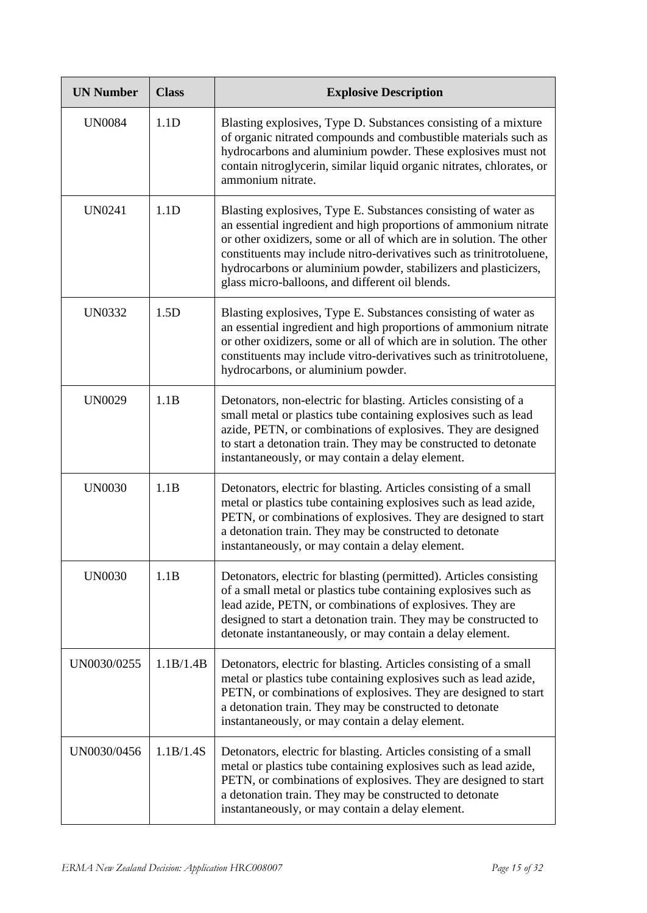| <b>UN Number</b> | <b>Class</b> | <b>Explosive Description</b>                                                                                                                                                                                                                                                                                                                                                                           |
|------------------|--------------|--------------------------------------------------------------------------------------------------------------------------------------------------------------------------------------------------------------------------------------------------------------------------------------------------------------------------------------------------------------------------------------------------------|
| <b>UN0084</b>    | 1.1D         | Blasting explosives, Type D. Substances consisting of a mixture<br>of organic nitrated compounds and combustible materials such as<br>hydrocarbons and aluminium powder. These explosives must not<br>contain nitroglycerin, similar liquid organic nitrates, chlorates, or<br>ammonium nitrate.                                                                                                       |
| <b>UN0241</b>    | 1.1D         | Blasting explosives, Type E. Substances consisting of water as<br>an essential ingredient and high proportions of ammonium nitrate<br>or other oxidizers, some or all of which are in solution. The other<br>constituents may include nitro-derivatives such as trinitrotoluene,<br>hydrocarbons or aluminium powder, stabilizers and plasticizers,<br>glass micro-balloons, and different oil blends. |
| <b>UN0332</b>    | 1.5D         | Blasting explosives, Type E. Substances consisting of water as<br>an essential ingredient and high proportions of ammonium nitrate<br>or other oxidizers, some or all of which are in solution. The other<br>constituents may include vitro-derivatives such as trinitrotoluene,<br>hydrocarbons, or aluminium powder.                                                                                 |
| <b>UN0029</b>    | 1.1B         | Detonators, non-electric for blasting. Articles consisting of a<br>small metal or plastics tube containing explosives such as lead<br>azide, PETN, or combinations of explosives. They are designed<br>to start a detonation train. They may be constructed to detonate<br>instantaneously, or may contain a delay element.                                                                            |
| <b>UN0030</b>    | 1.1B         | Detonators, electric for blasting. Articles consisting of a small<br>metal or plastics tube containing explosives such as lead azide,<br>PETN, or combinations of explosives. They are designed to start<br>a detonation train. They may be constructed to detonate<br>instantaneously, or may contain a delay element.                                                                                |
| <b>UN0030</b>    | 1.1B         | Detonators, electric for blasting (permitted). Articles consisting<br>of a small metal or plastics tube containing explosives such as<br>lead azide, PETN, or combinations of explosives. They are<br>designed to start a detonation train. They may be constructed to<br>detonate instantaneously, or may contain a delay element.                                                                    |
| UN0030/0255      | 1.1B/1.4B    | Detonators, electric for blasting. Articles consisting of a small<br>metal or plastics tube containing explosives such as lead azide,<br>PETN, or combinations of explosives. They are designed to start<br>a detonation train. They may be constructed to detonate<br>instantaneously, or may contain a delay element.                                                                                |
| UN0030/0456      | 1.1B/1.4S    | Detonators, electric for blasting. Articles consisting of a small<br>metal or plastics tube containing explosives such as lead azide,<br>PETN, or combinations of explosives. They are designed to start<br>a detonation train. They may be constructed to detonate<br>instantaneously, or may contain a delay element.                                                                                |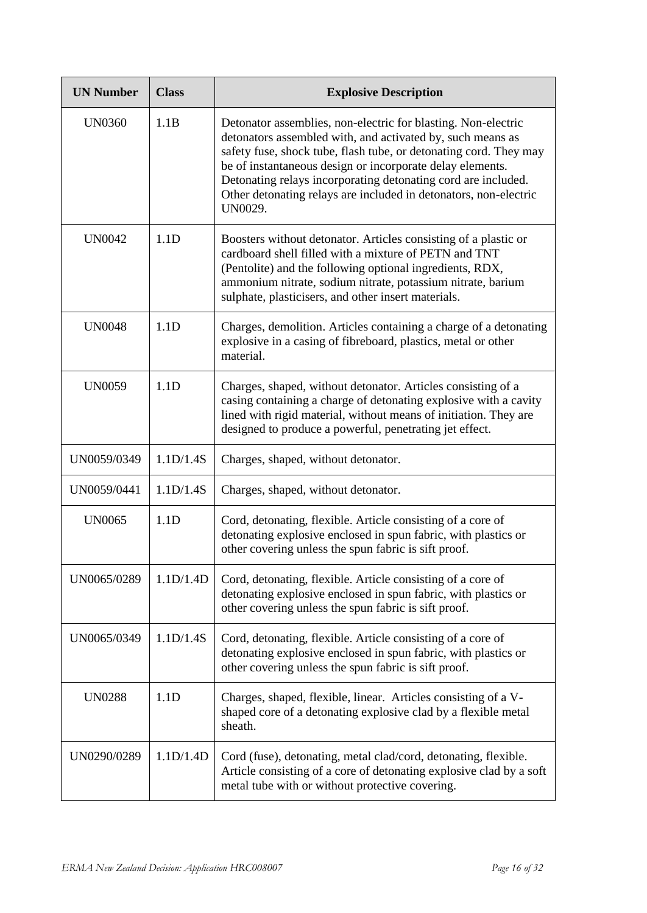| <b>UN Number</b> | <b>Class</b> | <b>Explosive Description</b>                                                                                                                                                                                                                                                                                                                                                                                  |
|------------------|--------------|---------------------------------------------------------------------------------------------------------------------------------------------------------------------------------------------------------------------------------------------------------------------------------------------------------------------------------------------------------------------------------------------------------------|
| <b>UN0360</b>    | 1.1B         | Detonator assemblies, non-electric for blasting. Non-electric<br>detonators assembled with, and activated by, such means as<br>safety fuse, shock tube, flash tube, or detonating cord. They may<br>be of instantaneous design or incorporate delay elements.<br>Detonating relays incorporating detonating cord are included.<br>Other detonating relays are included in detonators, non-electric<br>UN0029. |
| <b>UN0042</b>    | 1.1D         | Boosters without detonator. Articles consisting of a plastic or<br>cardboard shell filled with a mixture of PETN and TNT<br>(Pentolite) and the following optional ingredients, RDX,<br>ammonium nitrate, sodium nitrate, potassium nitrate, barium<br>sulphate, plasticisers, and other insert materials.                                                                                                    |
| <b>UN0048</b>    | 1.1D         | Charges, demolition. Articles containing a charge of a detonating<br>explosive in a casing of fibreboard, plastics, metal or other<br>material.                                                                                                                                                                                                                                                               |
| <b>UN0059</b>    | 1.1D         | Charges, shaped, without detonator. Articles consisting of a<br>casing containing a charge of detonating explosive with a cavity<br>lined with rigid material, without means of initiation. They are<br>designed to produce a powerful, penetrating jet effect.                                                                                                                                               |
| UN0059/0349      | 1.1D/1.4S    | Charges, shaped, without detonator.                                                                                                                                                                                                                                                                                                                                                                           |
| UN0059/0441      | 1.1D/1.4S    | Charges, shaped, without detonator.                                                                                                                                                                                                                                                                                                                                                                           |
| <b>UN0065</b>    | 1.1D         | Cord, detonating, flexible. Article consisting of a core of<br>detonating explosive enclosed in spun fabric, with plastics or<br>other covering unless the spun fabric is sift proof.                                                                                                                                                                                                                         |
| UN0065/0289      | 1.1D/1.4D    | Cord, detonating, flexible. Article consisting of a core of<br>detonating explosive enclosed in spun fabric, with plastics or<br>other covering unless the spun fabric is sift proof.                                                                                                                                                                                                                         |
| UN0065/0349      | 1.1D/1.4S    | Cord, detonating, flexible. Article consisting of a core of<br>detonating explosive enclosed in spun fabric, with plastics or<br>other covering unless the spun fabric is sift proof.                                                                                                                                                                                                                         |
| <b>UN0288</b>    | 1.1D         | Charges, shaped, flexible, linear. Articles consisting of a V-<br>shaped core of a detonating explosive clad by a flexible metal<br>sheath.                                                                                                                                                                                                                                                                   |
| UN0290/0289      | 1.1D/1.4D    | Cord (fuse), detonating, metal clad/cord, detonating, flexible.<br>Article consisting of a core of detonating explosive clad by a soft<br>metal tube with or without protective covering.                                                                                                                                                                                                                     |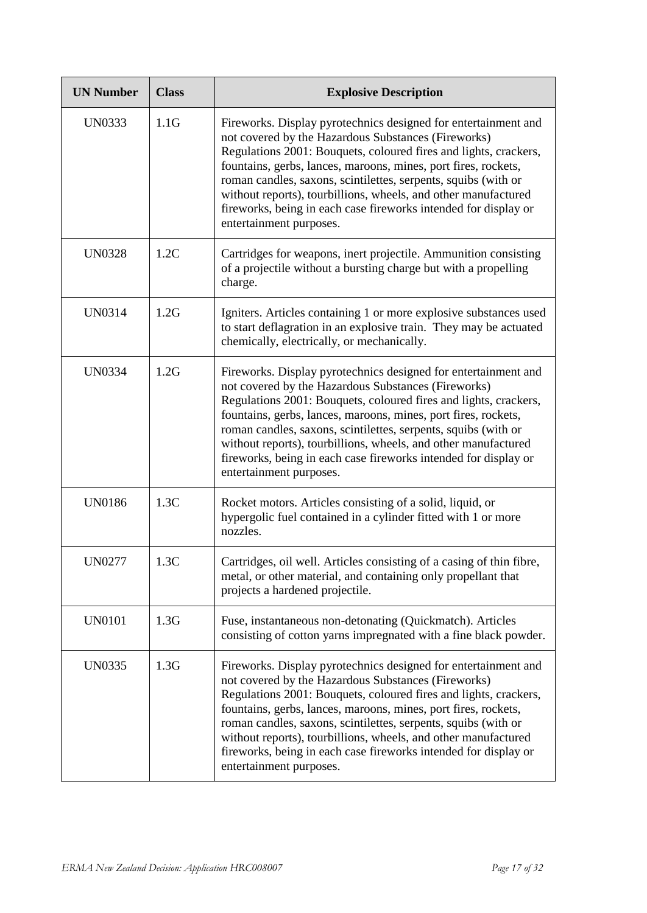| <b>UN Number</b> | <b>Class</b> | <b>Explosive Description</b>                                                                                                                                                                                                                                                                                                                                                                                                                                                                  |
|------------------|--------------|-----------------------------------------------------------------------------------------------------------------------------------------------------------------------------------------------------------------------------------------------------------------------------------------------------------------------------------------------------------------------------------------------------------------------------------------------------------------------------------------------|
| <b>UN0333</b>    | 1.1G         | Fireworks. Display pyrotechnics designed for entertainment and<br>not covered by the Hazardous Substances (Fireworks)<br>Regulations 2001: Bouquets, coloured fires and lights, crackers,<br>fountains, gerbs, lances, maroons, mines, port fires, rockets,<br>roman candles, saxons, scintilettes, serpents, squibs (with or<br>without reports), tourbillions, wheels, and other manufactured<br>fireworks, being in each case fireworks intended for display or<br>entertainment purposes. |
| <b>UN0328</b>    | 1.2C         | Cartridges for weapons, inert projectile. Ammunition consisting<br>of a projectile without a bursting charge but with a propelling<br>charge.                                                                                                                                                                                                                                                                                                                                                 |
| <b>UN0314</b>    | 1.2G         | Igniters. Articles containing 1 or more explosive substances used<br>to start deflagration in an explosive train. They may be actuated<br>chemically, electrically, or mechanically.                                                                                                                                                                                                                                                                                                          |
| <b>UN0334</b>    | 1.2G         | Fireworks. Display pyrotechnics designed for entertainment and<br>not covered by the Hazardous Substances (Fireworks)<br>Regulations 2001: Bouquets, coloured fires and lights, crackers,<br>fountains, gerbs, lances, maroons, mines, port fires, rockets,<br>roman candles, saxons, scintilettes, serpents, squibs (with or<br>without reports), tourbillions, wheels, and other manufactured<br>fireworks, being in each case fireworks intended for display or<br>entertainment purposes. |
| <b>UN0186</b>    | 1.3C         | Rocket motors. Articles consisting of a solid, liquid, or<br>hypergolic fuel contained in a cylinder fitted with 1 or more<br>nozzles.                                                                                                                                                                                                                                                                                                                                                        |
| <b>UN0277</b>    | 1.3C         | Cartridges, oil well. Articles consisting of a casing of thin fibre,<br>metal, or other material, and containing only propellant that<br>projects a hardened projectile.                                                                                                                                                                                                                                                                                                                      |
| <b>UN0101</b>    | 1.3G         | Fuse, instantaneous non-detonating (Quickmatch). Articles<br>consisting of cotton yarns impregnated with a fine black powder.                                                                                                                                                                                                                                                                                                                                                                 |
| <b>UN0335</b>    | 1.3G         | Fireworks. Display pyrotechnics designed for entertainment and<br>not covered by the Hazardous Substances (Fireworks)<br>Regulations 2001: Bouquets, coloured fires and lights, crackers,<br>fountains, gerbs, lances, maroons, mines, port fires, rockets,<br>roman candles, saxons, scintilettes, serpents, squibs (with or<br>without reports), tourbillions, wheels, and other manufactured<br>fireworks, being in each case fireworks intended for display or<br>entertainment purposes. |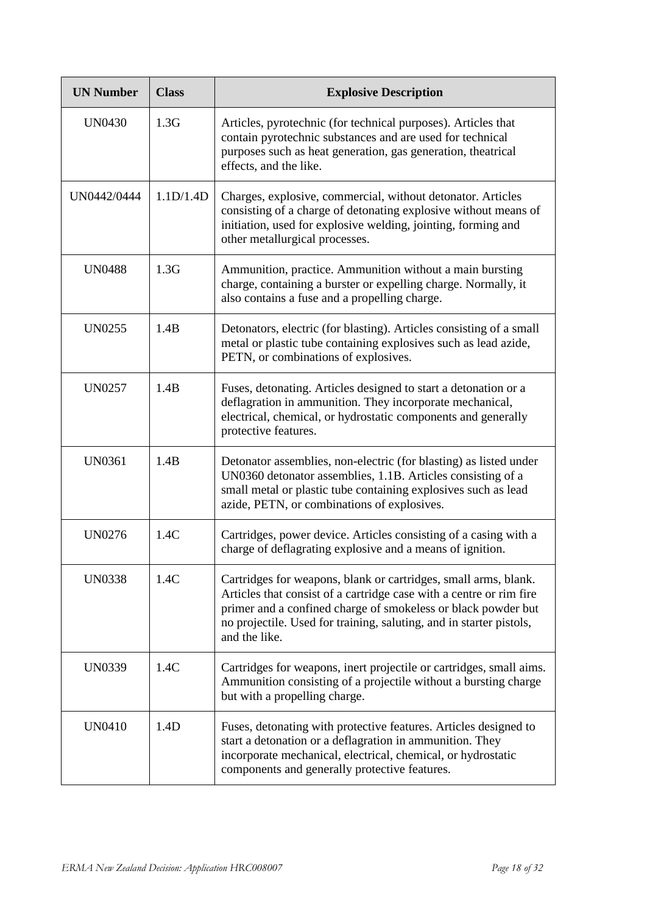| <b>UN Number</b> | <b>Class</b> | <b>Explosive Description</b>                                                                                                                                                                                                                                                                    |
|------------------|--------------|-------------------------------------------------------------------------------------------------------------------------------------------------------------------------------------------------------------------------------------------------------------------------------------------------|
| <b>UN0430</b>    | 1.3G         | Articles, pyrotechnic (for technical purposes). Articles that<br>contain pyrotechnic substances and are used for technical<br>purposes such as heat generation, gas generation, theatrical<br>effects, and the like.                                                                            |
| UN0442/0444      | 1.1D/1.4D    | Charges, explosive, commercial, without detonator. Articles<br>consisting of a charge of detonating explosive without means of<br>initiation, used for explosive welding, jointing, forming and<br>other metallurgical processes.                                                               |
| <b>UN0488</b>    | 1.3G         | Ammunition, practice. Ammunition without a main bursting<br>charge, containing a burster or expelling charge. Normally, it<br>also contains a fuse and a propelling charge.                                                                                                                     |
| <b>UN0255</b>    | 1.4B         | Detonators, electric (for blasting). Articles consisting of a small<br>metal or plastic tube containing explosives such as lead azide,<br>PETN, or combinations of explosives.                                                                                                                  |
| <b>UN0257</b>    | 1.4B         | Fuses, detonating. Articles designed to start a detonation or a<br>deflagration in ammunition. They incorporate mechanical,<br>electrical, chemical, or hydrostatic components and generally<br>protective features.                                                                            |
| <b>UN0361</b>    | 1.4B         | Detonator assemblies, non-electric (for blasting) as listed under<br>UN0360 detonator assemblies, 1.1B. Articles consisting of a<br>small metal or plastic tube containing explosives such as lead<br>azide, PETN, or combinations of explosives.                                               |
| <b>UN0276</b>    | 1.4C         | Cartridges, power device. Articles consisting of a casing with a<br>charge of deflagrating explosive and a means of ignition.                                                                                                                                                                   |
| <b>UN0338</b>    | 1.4C         | Cartridges for weapons, blank or cartridges, small arms, blank.<br>Articles that consist of a cartridge case with a centre or rim fire<br>primer and a confined charge of smokeless or black powder but<br>no projectile. Used for training, saluting, and in starter pistols,<br>and the like. |
| <b>UN0339</b>    | 1.4C         | Cartridges for weapons, inert projectile or cartridges, small aims.<br>Ammunition consisting of a projectile without a bursting charge<br>but with a propelling charge.                                                                                                                         |
| <b>UN0410</b>    | 1.4D         | Fuses, detonating with protective features. Articles designed to<br>start a detonation or a deflagration in ammunition. They<br>incorporate mechanical, electrical, chemical, or hydrostatic<br>components and generally protective features.                                                   |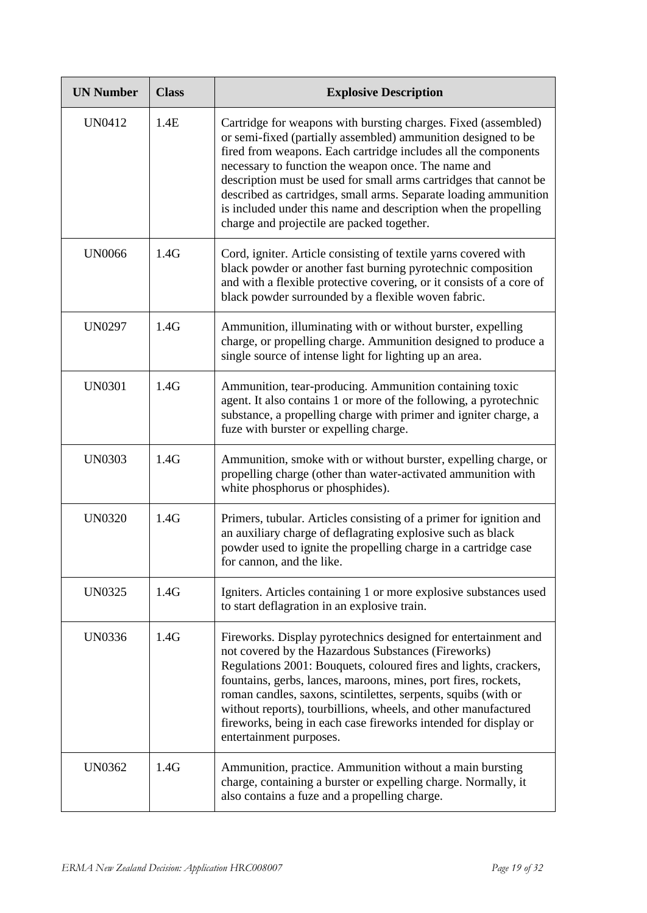| <b>UN Number</b> | <b>Class</b> | <b>Explosive Description</b>                                                                                                                                                                                                                                                                                                                                                                                                                                                                                       |
|------------------|--------------|--------------------------------------------------------------------------------------------------------------------------------------------------------------------------------------------------------------------------------------------------------------------------------------------------------------------------------------------------------------------------------------------------------------------------------------------------------------------------------------------------------------------|
| UN0412           | 1.4E         | Cartridge for weapons with bursting charges. Fixed (assembled)<br>or semi-fixed (partially assembled) ammunition designed to be<br>fired from weapons. Each cartridge includes all the components<br>necessary to function the weapon once. The name and<br>description must be used for small arms cartridges that cannot be<br>described as cartridges, small arms. Separate loading ammunition<br>is included under this name and description when the propelling<br>charge and projectile are packed together. |
| <b>UN0066</b>    | 1.4G         | Cord, igniter. Article consisting of textile yarns covered with<br>black powder or another fast burning pyrotechnic composition<br>and with a flexible protective covering, or it consists of a core of<br>black powder surrounded by a flexible woven fabric.                                                                                                                                                                                                                                                     |
| <b>UN0297</b>    | 1.4G         | Ammunition, illuminating with or without burster, expelling<br>charge, or propelling charge. Ammunition designed to produce a<br>single source of intense light for lighting up an area.                                                                                                                                                                                                                                                                                                                           |
| <b>UN0301</b>    | 1.4G         | Ammunition, tear-producing. Ammunition containing toxic<br>agent. It also contains 1 or more of the following, a pyrotechnic<br>substance, a propelling charge with primer and igniter charge, a<br>fuze with burster or expelling charge.                                                                                                                                                                                                                                                                         |
| <b>UN0303</b>    | 1.4G         | Ammunition, smoke with or without burster, expelling charge, or<br>propelling charge (other than water-activated ammunition with<br>white phosphorus or phosphides).                                                                                                                                                                                                                                                                                                                                               |
| <b>UN0320</b>    | 1.4G         | Primers, tubular. Articles consisting of a primer for ignition and<br>an auxiliary charge of deflagrating explosive such as black<br>powder used to ignite the propelling charge in a cartridge case<br>for cannon, and the like.                                                                                                                                                                                                                                                                                  |
| <b>UN0325</b>    | 1.4G         | Igniters. Articles containing 1 or more explosive substances used<br>to start deflagration in an explosive train.                                                                                                                                                                                                                                                                                                                                                                                                  |
| UN0336           | 1.4G         | Fireworks. Display pyrotechnics designed for entertainment and<br>not covered by the Hazardous Substances (Fireworks)<br>Regulations 2001: Bouquets, coloured fires and lights, crackers,<br>fountains, gerbs, lances, maroons, mines, port fires, rockets,<br>roman candles, saxons, scintilettes, serpents, squibs (with or<br>without reports), tourbillions, wheels, and other manufactured<br>fireworks, being in each case fireworks intended for display or<br>entertainment purposes.                      |
| <b>UN0362</b>    | 1.4G         | Ammunition, practice. Ammunition without a main bursting<br>charge, containing a burster or expelling charge. Normally, it<br>also contains a fuze and a propelling charge.                                                                                                                                                                                                                                                                                                                                        |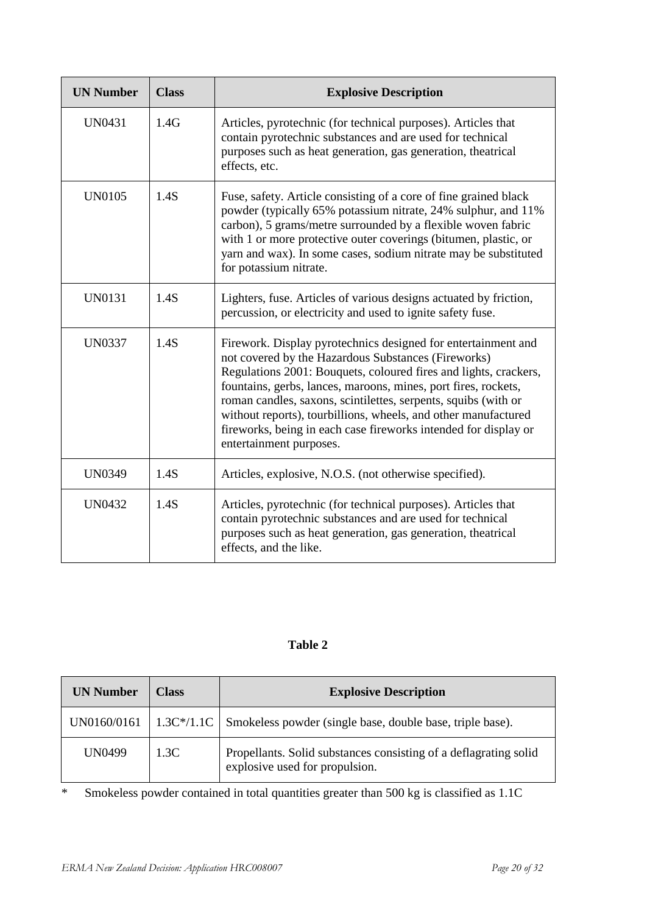| <b>UN Number</b> | <b>Class</b> | <b>Explosive Description</b>                                                                                                                                                                                                                                                                                                                                                                                                                                                                 |
|------------------|--------------|----------------------------------------------------------------------------------------------------------------------------------------------------------------------------------------------------------------------------------------------------------------------------------------------------------------------------------------------------------------------------------------------------------------------------------------------------------------------------------------------|
| <b>UN0431</b>    | 1.4G         | Articles, pyrotechnic (for technical purposes). Articles that<br>contain pyrotechnic substances and are used for technical<br>purposes such as heat generation, gas generation, theatrical<br>effects, etc.                                                                                                                                                                                                                                                                                  |
| <b>UN0105</b>    | 1.4S         | Fuse, safety. Article consisting of a core of fine grained black<br>powder (typically 65% potassium nitrate, 24% sulphur, and 11%<br>carbon), 5 grams/metre surrounded by a flexible woven fabric<br>with 1 or more protective outer coverings (bitumen, plastic, or<br>yarn and wax). In some cases, sodium nitrate may be substituted<br>for potassium nitrate.                                                                                                                            |
| <b>UN0131</b>    | 1.4S         | Lighters, fuse. Articles of various designs actuated by friction,<br>percussion, or electricity and used to ignite safety fuse.                                                                                                                                                                                                                                                                                                                                                              |
| <b>UN0337</b>    | 1.4S         | Firework. Display pyrotechnics designed for entertainment and<br>not covered by the Hazardous Substances (Fireworks)<br>Regulations 2001: Bouquets, coloured fires and lights, crackers,<br>fountains, gerbs, lances, maroons, mines, port fires, rockets,<br>roman candles, saxons, scintilettes, serpents, squibs (with or<br>without reports), tourbillions, wheels, and other manufactured<br>fireworks, being in each case fireworks intended for display or<br>entertainment purposes. |
| <b>UN0349</b>    | 1.4S         | Articles, explosive, N.O.S. (not otherwise specified).                                                                                                                                                                                                                                                                                                                                                                                                                                       |
| <b>UN0432</b>    | 1.4S         | Articles, pyrotechnic (for technical purposes). Articles that<br>contain pyrotechnic substances and are used for technical<br>purposes such as heat generation, gas generation, theatrical<br>effects, and the like.                                                                                                                                                                                                                                                                         |

### **Table 2**

| <b>UN Number</b> | Class | <b>Explosive Description</b>                                                                       |
|------------------|-------|----------------------------------------------------------------------------------------------------|
| UN0160/0161      |       | $\vert$ 1.3C*/1.1C $\vert$ Smokeless powder (single base, double base, triple base).               |
| <b>UN0499</b>    | 1.3C  | Propellants. Solid substances consisting of a deflagrating solid<br>explosive used for propulsion. |

\* Smokeless powder contained in total quantities greater than 500 kg is classified as 1.1C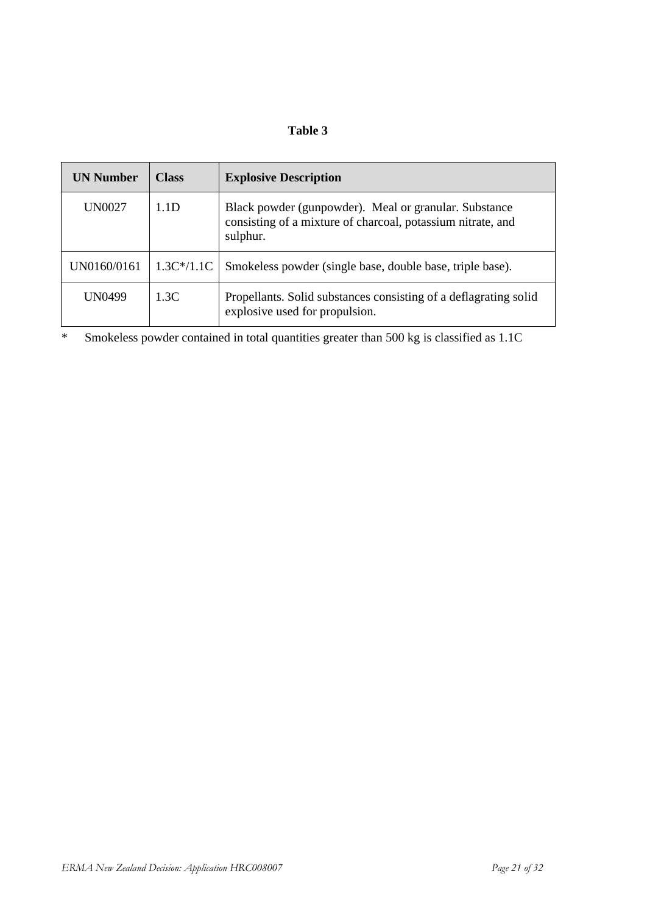### **Table 3**

| <b>UN Number</b> | <b>Class</b>     | <b>Explosive Description</b>                                                                                                     |
|------------------|------------------|----------------------------------------------------------------------------------------------------------------------------------|
| UN0027           | 1.1 <sub>D</sub> | Black powder (gunpowder). Meal or granular. Substance<br>consisting of a mixture of charcoal, potassium nitrate, and<br>sulphur. |
| UN0160/0161      | $1.3C*/1.1C$     | Smokeless powder (single base, double base, triple base).                                                                        |
| UN0499           | 1.3C             | Propellants. Solid substances consisting of a deflagrating solid<br>explosive used for propulsion.                               |

\* Smokeless powder contained in total quantities greater than 500 kg is classified as 1.1C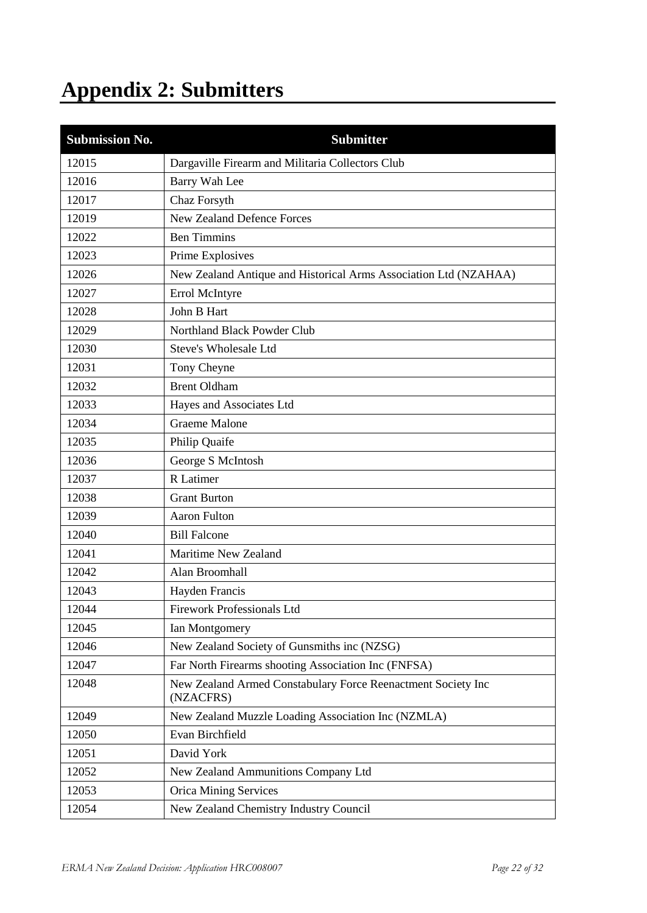# **Appendix 2: Submitters**

| <b>Submission No.</b> | <b>Submitter</b>                                                          |  |  |
|-----------------------|---------------------------------------------------------------------------|--|--|
| 12015                 | Dargaville Firearm and Militaria Collectors Club                          |  |  |
| 12016                 | Barry Wah Lee                                                             |  |  |
| 12017                 | Chaz Forsyth                                                              |  |  |
| 12019                 | <b>New Zealand Defence Forces</b>                                         |  |  |
| 12022                 | <b>Ben Timmins</b>                                                        |  |  |
| 12023                 | Prime Explosives                                                          |  |  |
| 12026                 | New Zealand Antique and Historical Arms Association Ltd (NZAHAA)          |  |  |
| 12027                 | Errol McIntyre                                                            |  |  |
| 12028                 | John B Hart                                                               |  |  |
| 12029                 | Northland Black Powder Club                                               |  |  |
| 12030                 | Steve's Wholesale Ltd                                                     |  |  |
| 12031                 | Tony Cheyne                                                               |  |  |
| 12032                 | <b>Brent Oldham</b>                                                       |  |  |
| 12033                 | Hayes and Associates Ltd                                                  |  |  |
| 12034                 | <b>Graeme Malone</b>                                                      |  |  |
| 12035                 | Philip Quaife                                                             |  |  |
| 12036                 | George S McIntosh                                                         |  |  |
| 12037                 | R Latimer                                                                 |  |  |
| 12038                 | <b>Grant Burton</b>                                                       |  |  |
| 12039                 | <b>Aaron Fulton</b>                                                       |  |  |
| 12040                 | <b>Bill Falcone</b>                                                       |  |  |
| 12041                 | Maritime New Zealand                                                      |  |  |
| 12042                 | Alan Broomhall                                                            |  |  |
| 12043                 | Hayden Francis                                                            |  |  |
| 12044                 | <b>Firework Professionals Ltd</b>                                         |  |  |
| 12045                 | Ian Montgomery                                                            |  |  |
| 12046                 | New Zealand Society of Gunsmiths inc (NZSG)                               |  |  |
| 12047                 | Far North Firearms shooting Association Inc (FNFSA)                       |  |  |
| 12048                 | New Zealand Armed Constabulary Force Reenactment Society Inc<br>(NZACFRS) |  |  |
| 12049                 | New Zealand Muzzle Loading Association Inc (NZMLA)                        |  |  |
| 12050                 | Evan Birchfield                                                           |  |  |
| 12051                 | David York                                                                |  |  |
| 12052                 | New Zealand Ammunitions Company Ltd                                       |  |  |
| 12053                 | <b>Orica Mining Services</b>                                              |  |  |
| 12054                 | New Zealand Chemistry Industry Council                                    |  |  |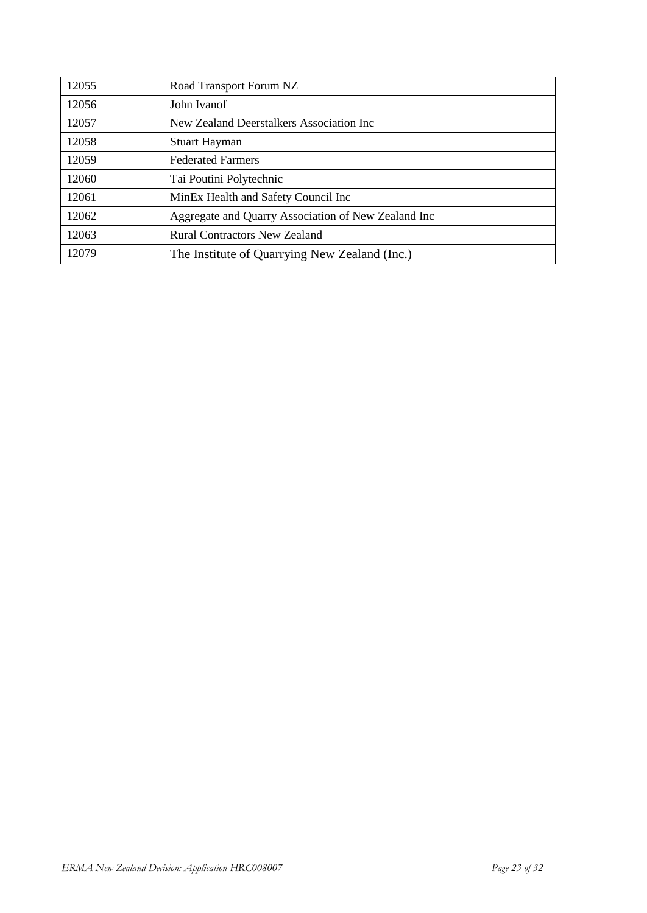| 12055 | Road Transport Forum NZ                             |  |
|-------|-----------------------------------------------------|--|
| 12056 | John Ivanof                                         |  |
| 12057 | New Zealand Deerstalkers Association Inc            |  |
| 12058 | <b>Stuart Hayman</b>                                |  |
| 12059 | <b>Federated Farmers</b>                            |  |
| 12060 | Tai Poutini Polytechnic                             |  |
| 12061 | MinEx Health and Safety Council Inc                 |  |
| 12062 | Aggregate and Quarry Association of New Zealand Inc |  |
| 12063 | <b>Rural Contractors New Zealand</b>                |  |
| 12079 | The Institute of Quarrying New Zealand (Inc.)       |  |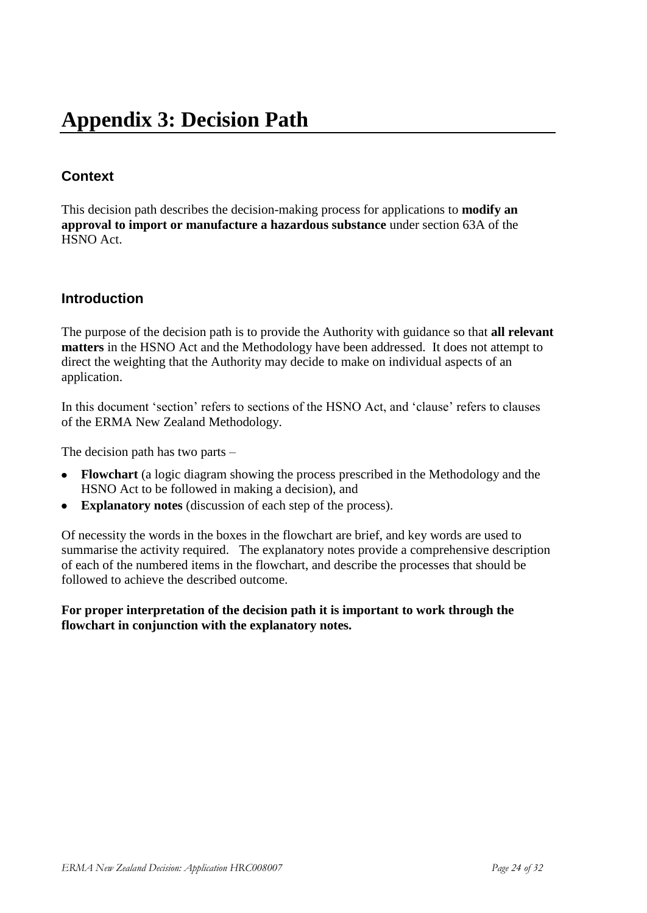# **Appendix 3: Decision Path**

## **Context**

This decision path describes the decision-making process for applications to **modify an approval to import or manufacture a hazardous substance** under section 63A of the HSNO Act.

### **Introduction**

The purpose of the decision path is to provide the Authority with guidance so that **all relevant matters** in the HSNO Act and the Methodology have been addressed. It does not attempt to direct the weighting that the Authority may decide to make on individual aspects of an application.

In this document 'section' refers to sections of the HSNO Act, and 'clause' refers to clauses of the ERMA New Zealand Methodology.

The decision path has two parts –

- **Flowchart** (a logic diagram showing the process prescribed in the Methodology and the HSNO Act to be followed in making a decision), and
- **Explanatory notes** (discussion of each step of the process).  $\bullet$

Of necessity the words in the boxes in the flowchart are brief, and key words are used to summarise the activity required. The explanatory notes provide a comprehensive description of each of the numbered items in the flowchart, and describe the processes that should be followed to achieve the described outcome.

**For proper interpretation of the decision path it is important to work through the flowchart in conjunction with the explanatory notes.**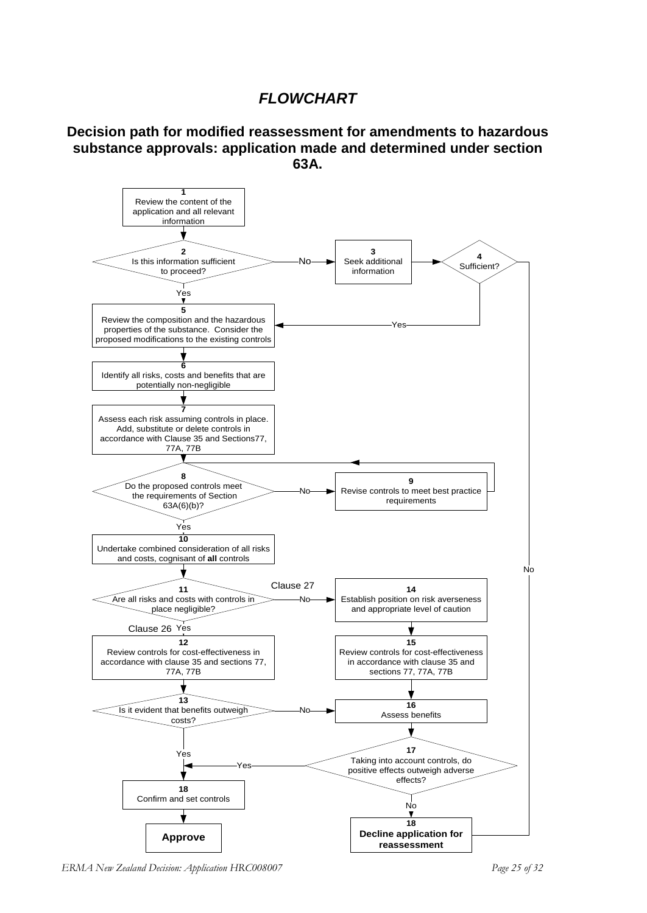# *FLOWCHART*

#### **Decision path for modified reassessment for amendments to hazardous substance approvals: application made and determined under section 63A.**



*ERMA New Zealand Decision: Application HRC008007 Page 25 of 32*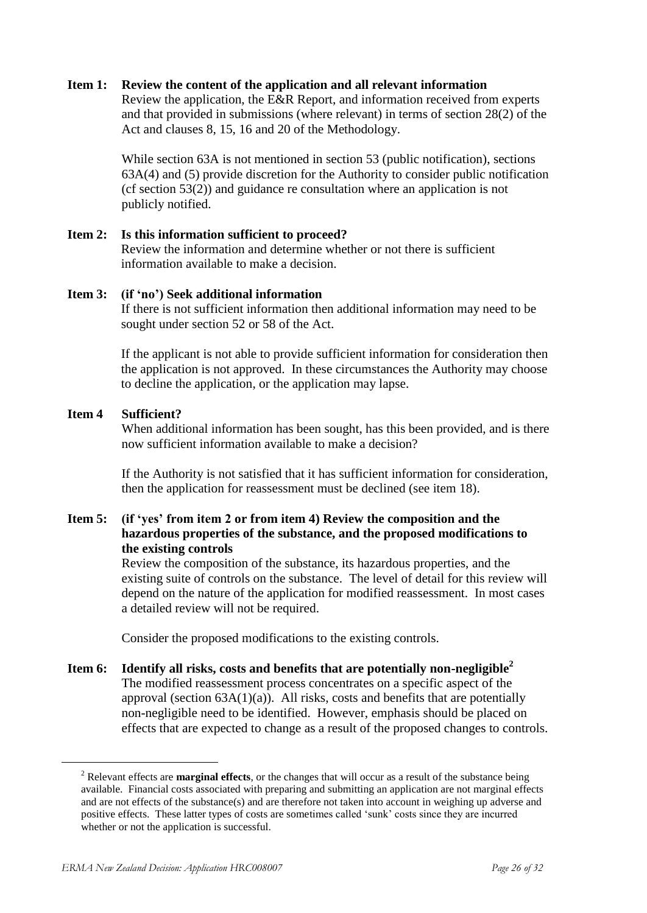#### **Item 1: Review the content of the application and all relevant information**

Review the application, the E&R Report, and information received from experts and that provided in submissions (where relevant) in terms of section 28(2) of the Act and clauses 8, 15, 16 and 20 of the Methodology.

While section 63A is not mentioned in section 53 (public notification), sections 63A(4) and (5) provide discretion for the Authority to consider public notification (cf section 53(2)) and guidance re consultation where an application is not publicly notified.

**Item 2: Is this information sufficient to proceed?** Review the information and determine whether or not there is sufficient information available to make a decision.

#### **Item 3: (if 'no') Seek additional information**

If there is not sufficient information then additional information may need to be sought under section 52 or 58 of the Act.

If the applicant is not able to provide sufficient information for consideration then the application is not approved. In these circumstances the Authority may choose to decline the application, or the application may lapse.

#### **Item 4 Sufficient?**

When additional information has been sought, has this been provided, and is there now sufficient information available to make a decision?

If the Authority is not satisfied that it has sufficient information for consideration, then the application for reassessment must be declined (see item 18).

#### **Item 5: (if 'yes' from item 2 or from item 4) Review the composition and the hazardous properties of the substance, and the proposed modifications to the existing controls**

Review the composition of the substance, its hazardous properties, and the existing suite of controls on the substance. The level of detail for this review will depend on the nature of the application for modified reassessment. In most cases a detailed review will not be required.

Consider the proposed modifications to the existing controls.

**Item 6: Identify all risks, costs and benefits that are potentially non-negligible<sup>2</sup>** The modified reassessment process concentrates on a specific aspect of the approval (section  $63A(1)(a)$ ). All risks, costs and benefits that are potentially non-negligible need to be identified. However, emphasis should be placed on effects that are expected to change as a result of the proposed changes to controls.

<u>.</u>

<sup>2</sup> Relevant effects are **marginal effects**, or the changes that will occur as a result of the substance being available. Financial costs associated with preparing and submitting an application are not marginal effects and are not effects of the substance(s) and are therefore not taken into account in weighing up adverse and positive effects. These latter types of costs are sometimes called 'sunk' costs since they are incurred whether or not the application is successful.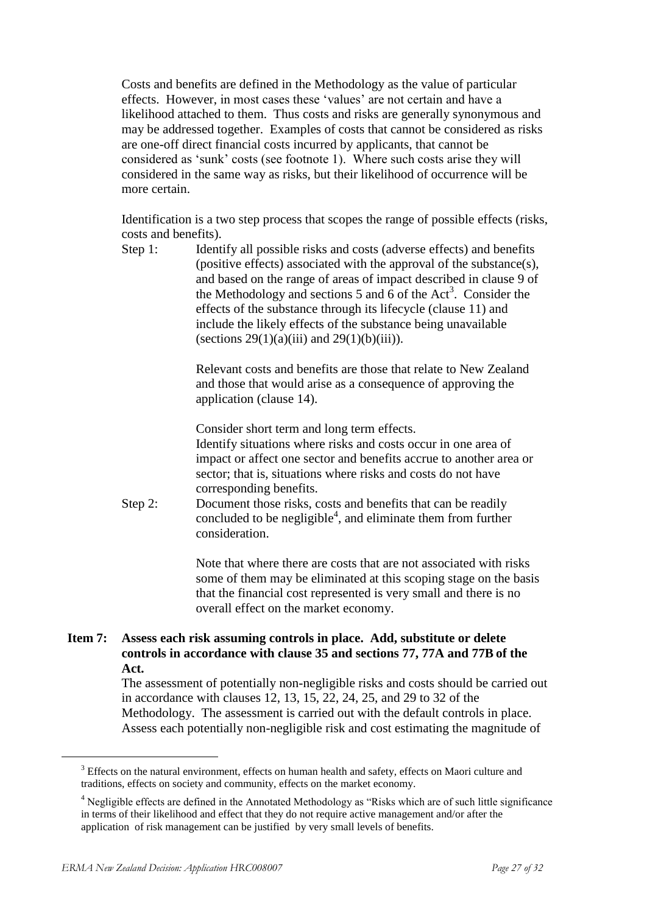Costs and benefits are defined in the Methodology as the value of particular effects. However, in most cases these 'values' are not certain and have a likelihood attached to them. Thus costs and risks are generally synonymous and may be addressed together. Examples of costs that cannot be considered as risks are one-off direct financial costs incurred by applicants, that cannot be considered as 'sunk' costs (see footnote 1). Where such costs arise they will considered in the same way as risks, but their likelihood of occurrence will be more certain.

Identification is a two step process that scopes the range of possible effects (risks, costs and benefits).

Step 1: Identify all possible risks and costs (adverse effects) and benefits (positive effects) associated with the approval of the substance(s), and based on the range of areas of impact described in clause 9 of the Methodology and sections 5 and  $\vec{6}$  of the Act<sup>3</sup>. Consider the effects of the substance through its lifecycle (clause 11) and include the likely effects of the substance being unavailable (sections  $29(1)(a)(iii)$  and  $29(1)(b)(iii)$ ).

> Relevant costs and benefits are those that relate to New Zealand and those that would arise as a consequence of approving the application (clause 14).

Consider short term and long term effects.

Identify situations where risks and costs occur in one area of impact or affect one sector and benefits accrue to another area or sector; that is, situations where risks and costs do not have corresponding benefits.

Step 2: Document those risks, costs and benefits that can be readily concluded to be negligible<sup>4</sup>, and eliminate them from further consideration.

> Note that where there are costs that are not associated with risks some of them may be eliminated at this scoping stage on the basis that the financial cost represented is very small and there is no overall effect on the market economy.

#### **Item 7: Assess each risk assuming controls in place. Add, substitute or delete controls in accordance with clause 35 and sections 77, 77A and 77B of the Act.**

The assessment of potentially non-negligible risks and costs should be carried out in accordance with clauses 12, 13, 15, 22, 24, 25, and 29 to 32 of the Methodology. The assessment is carried out with the default controls in place. Assess each potentially non-negligible risk and cost estimating the magnitude of

1

<sup>&</sup>lt;sup>3</sup> Effects on the natural environment, effects on human health and safety, effects on Maori culture and traditions, effects on society and community, effects on the market economy.

<sup>&</sup>lt;sup>4</sup> Negligible effects are defined in the Annotated Methodology as "Risks which are of such little significance in terms of their likelihood and effect that they do not require active management and/or after the application of risk management can be justified by very small levels of benefits.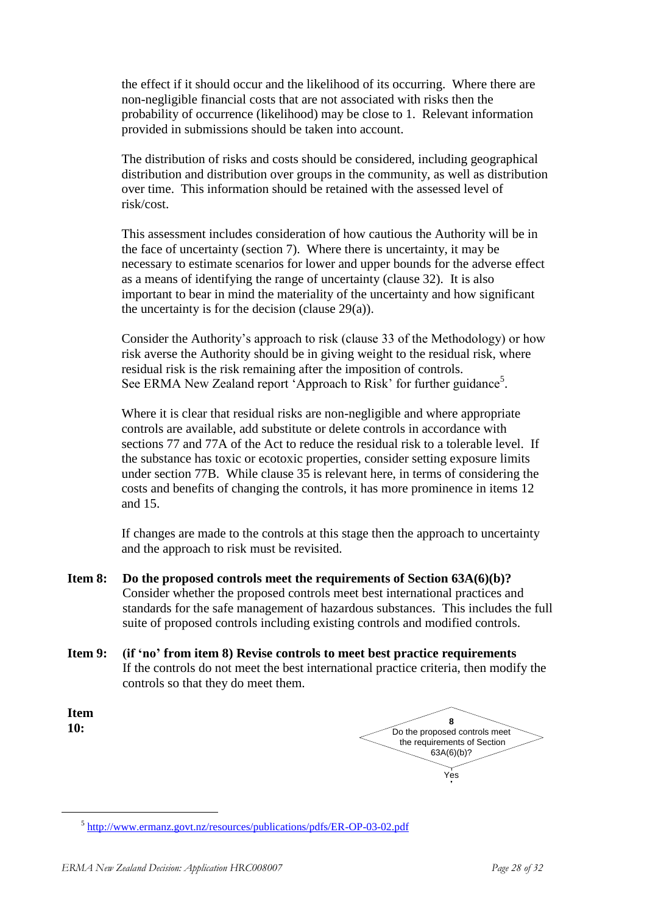the effect if it should occur and the likelihood of its occurring. Where there are non-negligible financial costs that are not associated with risks then the probability of occurrence (likelihood) may be close to 1. Relevant information provided in submissions should be taken into account.

The distribution of risks and costs should be considered, including geographical distribution and distribution over groups in the community, as well as distribution over time. This information should be retained with the assessed level of risk/cost.

This assessment includes consideration of how cautious the Authority will be in the face of uncertainty (section 7). Where there is uncertainty, it may be necessary to estimate scenarios for lower and upper bounds for the adverse effect as a means of identifying the range of uncertainty (clause 32). It is also important to bear in mind the materiality of the uncertainty and how significant the uncertainty is for the decision (clause 29(a)).

Consider the Authority's approach to risk (clause 33 of the Methodology) or how risk averse the Authority should be in giving weight to the residual risk, where residual risk is the risk remaining after the imposition of controls. See ERMA New Zealand report 'Approach to Risk' for further guidance<sup>5</sup>.

Where it is clear that residual risks are non-negligible and where appropriate controls are available, add substitute or delete controls in accordance with sections 77 and 77A of the Act to reduce the residual risk to a tolerable level. If the substance has toxic or ecotoxic properties, consider setting exposure limits under section 77B. While clause 35 is relevant here, in terms of considering the costs and benefits of changing the controls, it has more prominence in items 12 and 15.

If changes are made to the controls at this stage then the approach to uncertainty and the approach to risk must be revisited.

- **Item 8: Do the proposed controls meet the requirements of Section 63A(6)(b)?** Consider whether the proposed controls meet best international practices and standards for the safe management of hazardous substances. This includes the full suite of proposed controls including existing controls and modified controls.
- **Item 9: (if 'no' from item 8) Revise controls to meet best practice requirements** If the controls do not meet the best international practice criteria, then modify the controls so that they do meet them.

**Item 10:**

1

| Do the proposed controls meet<br>the requirements of Section<br>63A(6)(b)? |
|----------------------------------------------------------------------------|
|                                                                            |
|                                                                            |

<sup>&</sup>lt;sup>5</sup> <http://www.ermanz.govt.nz/resources/publications/pdfs/ER-OP-03-02.pdf>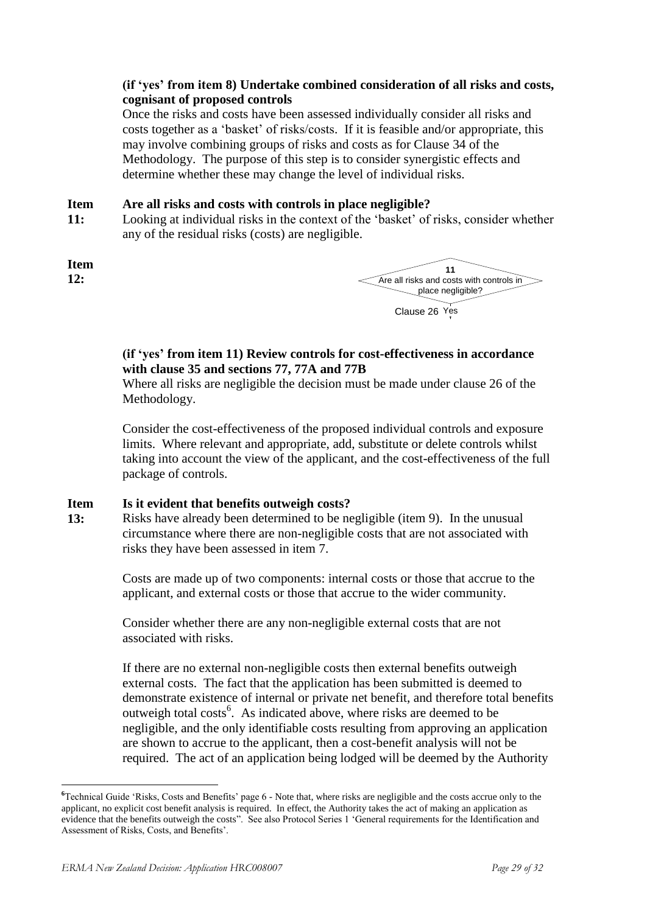#### **(if 'yes' from item 8) Undertake combined consideration of all risks and costs, cognisant of proposed controls**

Once the risks and costs have been assessed individually consider all risks and costs together as a 'basket' of risks/costs. If it is feasible and/or appropriate, this may involve combining groups of risks and costs as for Clause 34 of the Methodology. The purpose of this step is to consider synergistic effects and determine whether these may change the level of individual risks.

#### **Item Are all risks and costs with controls in place negligible?**

**11:** Looking at individual risks in the context of the 'basket' of risks, consider whether any of the residual risks (costs) are negligible.

**Item 12:**

<u>.</u>



#### **(if 'yes' from item 11) Review controls for cost-effectiveness in accordance with clause 35 and sections 77, 77A and 77B**

Where all risks are negligible the decision must be made under clause 26 of the Methodology.

Consider the cost-effectiveness of the proposed individual controls and exposure limits. Where relevant and appropriate, add, substitute or delete controls whilst taking into account the view of the applicant, and the cost-effectiveness of the full package of controls.

#### **Item Is it evident that benefits outweigh costs?**

**13:** Risks have already been determined to be negligible (item 9). In the unusual circumstance where there are non-negligible costs that are not associated with risks they have been assessed in item 7.

> Costs are made up of two components: internal costs or those that accrue to the applicant, and external costs or those that accrue to the wider community.

Consider whether there are any non-negligible external costs that are not associated with risks.

If there are no external non-negligible costs then external benefits outweigh external costs. The fact that the application has been submitted is deemed to demonstrate existence of internal or private net benefit, and therefore total benefits outweigh total costs<sup>6</sup>. As indicated above, where risks are deemed to be negligible, and the only identifiable costs resulting from approving an application are shown to accrue to the applicant, then a cost-benefit analysis will not be required. The act of an application being lodged will be deemed by the Authority

**<sup>6</sup>**Technical Guide ‗Risks, Costs and Benefits' page 6 - Note that, where risks are negligible and the costs accrue only to the applicant, no explicit cost benefit analysis is required. In effect, the Authority takes the act of making an application as evidence that the benefits outweigh the costs". See also Protocol Series 1 'General requirements for the Identification and Assessment of Risks, Costs, and Benefits'.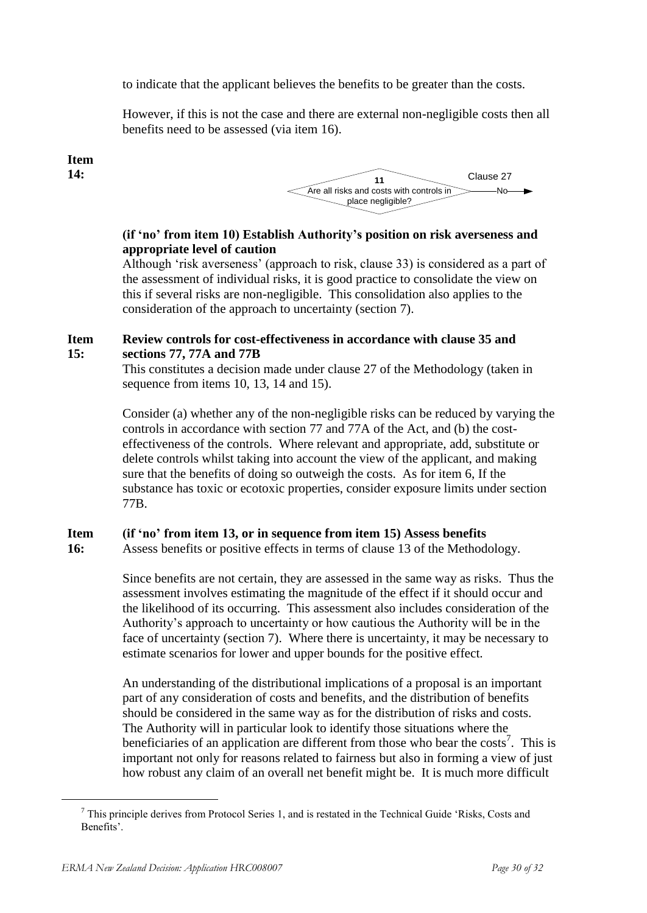to indicate that the applicant believes the benefits to be greater than the costs.

However, if this is not the case and there are external non-negligible costs then all benefits need to be assessed (via item 16).

#### **Item 14:**



#### **(if 'no' from item 10) Establish Authority's position on risk averseness and appropriate level of caution**

Although 'risk averseness' (approach to risk, clause 33) is considered as a part of the assessment of individual risks, it is good practice to consolidate the view on this if several risks are non-negligible. This consolidation also applies to the consideration of the approach to uncertainty (section 7).

#### **Item 15: Review controls for cost-effectiveness in accordance with clause 35 and sections 77, 77A and 77B**

This constitutes a decision made under clause 27 of the Methodology (taken in sequence from items 10, 13, 14 and 15).

Consider (a) whether any of the non-negligible risks can be reduced by varying the controls in accordance with section 77 and 77A of the Act, and (b) the costeffectiveness of the controls. Where relevant and appropriate, add, substitute or delete controls whilst taking into account the view of the applicant, and making sure that the benefits of doing so outweigh the costs. As for item 6, If the substance has toxic or ecotoxic properties, consider exposure limits under section 77B.

#### **Item (if 'no' from item 13, or in sequence from item 15) Assess benefits**

**16:** Assess benefits or positive effects in terms of clause 13 of the Methodology.

> Since benefits are not certain, they are assessed in the same way as risks. Thus the assessment involves estimating the magnitude of the effect if it should occur and the likelihood of its occurring. This assessment also includes consideration of the Authority's approach to uncertainty or how cautious the Authority will be in the face of uncertainty (section 7). Where there is uncertainty, it may be necessary to estimate scenarios for lower and upper bounds for the positive effect.

> An understanding of the distributional implications of a proposal is an important part of any consideration of costs and benefits, and the distribution of benefits should be considered in the same way as for the distribution of risks and costs. The Authority will in particular look to identify those situations where the beneficiaries of an application are different from those who bear the costs<sup>7</sup>. This is important not only for reasons related to fairness but also in forming a view of just how robust any claim of an overall net benefit might be. It is much more difficult

1

 $<sup>7</sup>$  This principle derives from Protocol Series 1, and is restated in the Technical Guide 'Risks, Costs and</sup> Benefits'.